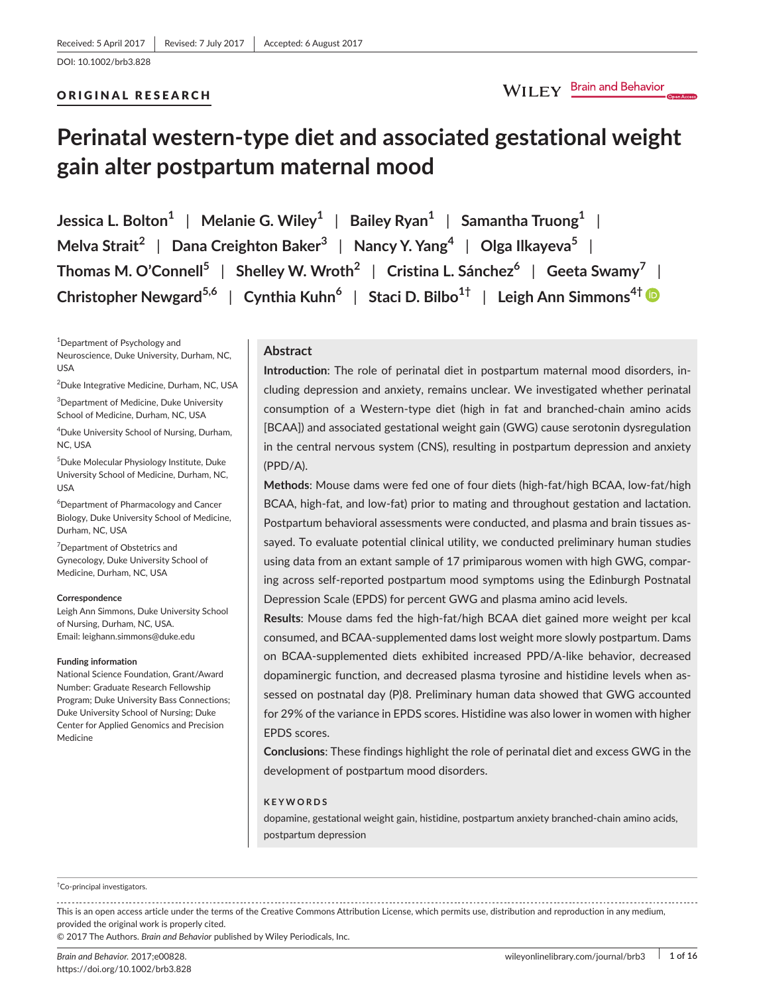DOI: 10.1002/brb3.828

#### ORIGINAL RESEARCH

# **Perinatal western-type diet and associated gestational weight gain alter postpartum maternal mood**

**Jessica L. Bolton<sup>1</sup>** | **Melanie G. Wiley<sup>1</sup>** | **Bailey Ryan<sup>1</sup>** | **Samantha Truong<sup>1</sup>** | **Melva Strait<sup>2</sup>** | **Dana Creighton Baker<sup>3</sup>** | **Nancy Y. Yang<sup>4</sup>** | **Olga Ilkayeva<sup>5</sup>** | **Thomas M. O'Connell<sup>5</sup>** | **Shelley W. Wroth<sup>2</sup>** | **Cristina L. Sánchez<sup>6</sup>** | **Geeta Swamy<sup>7</sup>** | **Christopher Newgard5,6** | **Cynthia Kuhn<sup>6</sup>** | **Staci D. Bilbo1†** | **Leigh Ann Simmons4†**

1 Department of Psychology and Neuroscience, Duke University, Durham, NC, USA

2 Duke Integrative Medicine, Durham, NC, USA

3 Department of Medicine, Duke University School of Medicine, Durham, NC, USA

4 Duke University School of Nursing, Durham, NC, USA

5 Duke Molecular Physiology Institute, Duke University School of Medicine, Durham, NC, USA

6 Department of Pharmacology and Cancer Biology, Duke University School of Medicine, Durham, NC, USA

<sup>7</sup> Department of Obstetrics and Gynecology, Duke University School of Medicine, Durham, NC, USA

#### **Correspondence**

Leigh Ann Simmons, Duke University School of Nursing, Durham, NC, USA. Email: [leighann.simmons@duke.edu](mailto:leighann.simmons@duke.edu)

#### **Funding information**

National Science Foundation, Grant/Award Number: Graduate Research Fellowship Program; Duke University Bass Connections; Duke University School of Nursing; Duke Center for Applied Genomics and Precision Medicine

### **Abstract**

**Introduction**: The role of perinatal diet in postpartum maternal mood disorders, including depression and anxiety, remains unclear. We investigated whether perinatal consumption of a Western-type diet (high in fat and branched-chain amino acids [BCAA]) and associated gestational weight gain (GWG) cause serotonin dysregulation in the central nervous system (CNS), resulting in postpartum depression and anxiety (PPD/A).

**Methods**: Mouse dams were fed one of four diets (high-fat/high BCAA, low-fat/high BCAA, high-fat, and low-fat) prior to mating and throughout gestation and lactation. Postpartum behavioral assessments were conducted, and plasma and brain tissues assayed. To evaluate potential clinical utility, we conducted preliminary human studies using data from an extant sample of 17 primiparous women with high GWG, comparing across self-reported postpartum mood symptoms using the Edinburgh Postnatal Depression Scale (EPDS) for percent GWG and plasma amino acid levels.

**Results**: Mouse dams fed the high-fat/high BCAA diet gained more weight per kcal consumed, and BCAA-supplemented dams lost weight more slowly postpartum. Dams on BCAA-supplemented diets exhibited increased PPD/A-like behavior, decreased dopaminergic function, and decreased plasma tyrosine and histidine levels when assessed on postnatal day (P)8. Preliminary human data showed that GWG accounted for 29% of the variance in EPDS scores. Histidine was also lower in women with higher EPDS scores.

**Conclusions**: These findings highlight the role of perinatal diet and excess GWG in the development of postpartum mood disorders.

#### **KEYWORDS**

dopamine, gestational weight gain, histidine, postpartum anxiety branched-chain amino acids, postpartum depression

#### † Co-principal investigators.

This is an open access article under the terms of the [Creative Commons Attribution](http://creativecommons.org/licenses/by/4.0/) License, which permits use, distribution and reproduction in any medium, provided the original work is properly cited.

© 2017 The Authors. *Brain and Behavior* published by Wiley Periodicals, Inc.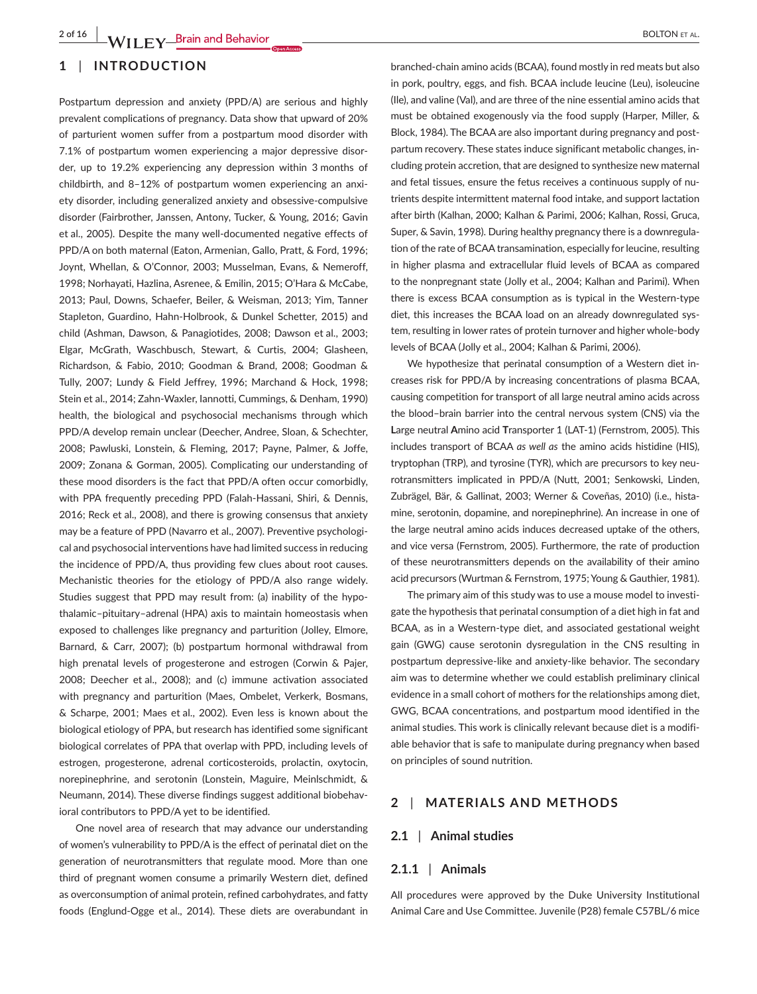## **1** | **INTRODUCTION**

Postpartum depression and anxiety (PPD/A) are serious and highly prevalent complications of pregnancy. Data show that upward of 20% of parturient women suffer from a postpartum mood disorder with 7.1% of postpartum women experiencing a major depressive disorder, up to 19.2% experiencing any depression within 3 months of childbirth, and 8–12% of postpartum women experiencing an anxiety disorder, including generalized anxiety and obsessive-compulsive disorder (Fairbrother, Janssen, Antony, Tucker, & Young, 2016; Gavin et al., 2005). Despite the many well-documented negative effects of PPD/A on both maternal (Eaton, Armenian, Gallo, Pratt, & Ford, 1996; Joynt, Whellan, & O'Connor, 2003; Musselman, Evans, & Nemeroff, 1998; Norhayati, Hazlina, Asrenee, & Emilin, 2015; O'Hara & McCabe, 2013; Paul, Downs, Schaefer, Beiler, & Weisman, 2013; Yim, Tanner Stapleton, Guardino, Hahn-Holbrook, & Dunkel Schetter, 2015) and child (Ashman, Dawson, & Panagiotides, 2008; Dawson et al., 2003; Elgar, McGrath, Waschbusch, Stewart, & Curtis, 2004; Glasheen, Richardson, & Fabio, 2010; Goodman & Brand, 2008; Goodman & Tully, 2007; Lundy & Field Jeffrey, 1996; Marchand & Hock, 1998; Stein et al., 2014; Zahn-Waxler, Iannotti, Cummings, & Denham, 1990) health, the biological and psychosocial mechanisms through which PPD/A develop remain unclear (Deecher, Andree, Sloan, & Schechter, 2008; Pawluski, Lonstein, & Fleming, 2017; Payne, Palmer, & Joffe, 2009; Zonana & Gorman, 2005). Complicating our understanding of these mood disorders is the fact that PPD/A often occur comorbidly, with PPA frequently preceding PPD (Falah-Hassani, Shiri, & Dennis, 2016; Reck et al., 2008), and there is growing consensus that anxiety may be a feature of PPD (Navarro et al., 2007). Preventive psychological and psychosocial interventions have had limited success in reducing the incidence of PPD/A, thus providing few clues about root causes. Mechanistic theories for the etiology of PPD/A also range widely. Studies suggest that PPD may result from: (a) inability of the hypothalamic–pituitary–adrenal (HPA) axis to maintain homeostasis when exposed to challenges like pregnancy and parturition (Jolley, Elmore, Barnard, & Carr, 2007); (b) postpartum hormonal withdrawal from high prenatal levels of progesterone and estrogen (Corwin & Pajer, 2008; Deecher et al., 2008); and (c) immune activation associated with pregnancy and parturition (Maes, Ombelet, Verkerk, Bosmans, & Scharpe, 2001; Maes et al., 2002). Even less is known about the biological etiology of PPA, but research has identified some significant biological correlates of PPA that overlap with PPD, including levels of estrogen, progesterone, adrenal corticosteroids, prolactin, oxytocin, norepinephrine, and serotonin (Lonstein, Maguire, Meinlschmidt, & Neumann, 2014). These diverse findings suggest additional biobehavioral contributors to PPD/A yet to be identified.

One novel area of research that may advance our understanding of women's vulnerability to PPD/A is the effect of perinatal diet on the generation of neurotransmitters that regulate mood. More than one third of pregnant women consume a primarily Western diet, defined as overconsumption of animal protein, refined carbohydrates, and fatty foods (Englund-Ogge et al., 2014). These diets are overabundant in

branched-chain amino acids (BCAA), found mostly in red meats but also in pork, poultry, eggs, and fish. BCAA include leucine (Leu), isoleucine (Ile), and valine (Val), and are three of the nine essential amino acids that must be obtained exogenously via the food supply (Harper, Miller, & Block, 1984). The BCAA are also important during pregnancy and postpartum recovery. These states induce significant metabolic changes, including protein accretion, that are designed to synthesize new maternal and fetal tissues, ensure the fetus receives a continuous supply of nutrients despite intermittent maternal food intake, and support lactation after birth (Kalhan, 2000; Kalhan & Parimi, 2006; Kalhan, Rossi, Gruca, Super, & Savin, 1998). During healthy pregnancy there is a downregulation of the rate of BCAA transamination, especially for leucine, resulting in higher plasma and extracellular fluid levels of BCAA as compared to the nonpregnant state (Jolly et al., 2004; Kalhan and Parimi). When there is excess BCAA consumption as is typical in the Western-type diet, this increases the BCAA load on an already downregulated system, resulting in lower rates of protein turnover and higher whole-body levels of BCAA (Jolly et al., 2004; Kalhan & Parimi, 2006).

We hypothesize that perinatal consumption of a Western diet increases risk for PPD/A by increasing concentrations of plasma BCAA, causing competition for transport of all large neutral amino acids across the blood–brain barrier into the central nervous system (CNS) via the **L**arge neutral **A**mino acid **T**ransporter 1 (LAT-1) (Fernstrom, 2005). This includes transport of BCAA *as well as* the amino acids histidine (HIS), tryptophan (TRP), and tyrosine (TYR), which are precursors to key neurotransmitters implicated in PPD/A (Nutt, 2001; Senkowski, Linden, Zubrägel, Bär, & Gallinat, 2003; Werner & Coveñas, 2010) (i.e., histamine, serotonin, dopamine, and norepinephrine). An increase in one of the large neutral amino acids induces decreased uptake of the others, and vice versa (Fernstrom, 2005). Furthermore, the rate of production of these neurotransmitters depends on the availability of their amino acid precursors (Wurtman & Fernstrom, 1975; Young & Gauthier, 1981).

The primary aim of this study was to use a mouse model to investigate the hypothesis that perinatal consumption of a diet high in fat and BCAA, as in a Western-type diet, and associated gestational weight gain (GWG) cause serotonin dysregulation in the CNS resulting in postpartum depressive-like and anxiety-like behavior. The secondary aim was to determine whether we could establish preliminary clinical evidence in a small cohort of mothers for the relationships among diet, GWG, BCAA concentrations, and postpartum mood identified in the animal studies. This work is clinically relevant because diet is a modifiable behavior that is safe to manipulate during pregnancy when based on principles of sound nutrition.

## **2** | **MATERIALS AND METHODS**

## **2.1** | **Animal studies**

#### **2.1.1** | **Animals**

All procedures were approved by the Duke University Institutional Animal Care and Use Committee. Juvenile (P28) female C57BL/6 mice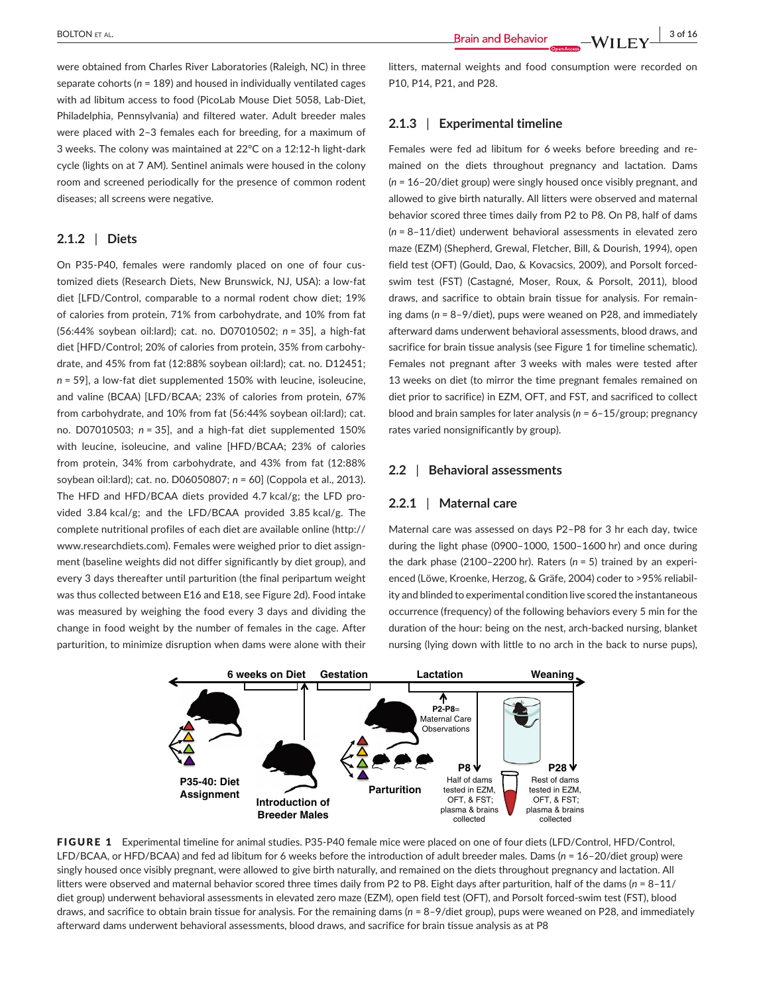were obtained from Charles River Laboratories (Raleigh, NC) in three separate cohorts (*n* = 189) and housed in individually ventilated cages with ad libitum access to food (PicoLab Mouse Diet 5058, Lab-Diet, Philadelphia, Pennsylvania) and filtered water. Adult breeder males were placed with 2–3 females each for breeding, for a maximum of 3 weeks. The colony was maintained at 22°C on a 12:12-h light-dark cycle (lights on at 7 AM). Sentinel animals were housed in the colony room and screened periodically for the presence of common rodent diseases; all screens were negative.

# **2.1.2** | **Diets**

On P35-P40, females were randomly placed on one of four customized diets (Research Diets, New Brunswick, NJ, USA): a low-fat diet [LFD/Control, comparable to a normal rodent chow diet; 19% of calories from protein, 71% from carbohydrate, and 10% from fat (56:44% soybean oil:lard); cat. no. D07010502; *n* = 35], a high-fat diet [HFD/Control; 20% of calories from protein, 35% from carbohydrate, and 45% from fat (12:88% soybean oil:lard); cat. no. D12451; *n* = 59], a low-fat diet supplemented 150% with leucine, isoleucine, and valine (BCAA) [LFD/BCAA; 23% of calories from protein, 67% from carbohydrate, and 10% from fat (56:44% soybean oil:lard); cat. no. D07010503; *n* = 35], and a high-fat diet supplemented 150% with leucine, isoleucine, and valine [HFD/BCAA; 23% of calories from protein, 34% from carbohydrate, and 43% from fat (12:88% soybean oil:lard); cat. no. D06050807; *n* = 60] (Coppola et al., 2013). The HFD and HFD/BCAA diets provided 4.7 kcal/g; the LFD provided 3.84 kcal/g; and the LFD/BCAA provided 3.85 kcal/g. The complete nutritional profiles of each diet are available online ([http://](http://www.researchdiets.com) [www.researchdiets.com](http://www.researchdiets.com)). Females were weighed prior to diet assignment (baseline weights did not differ significantly by diet group), and every 3 days thereafter until parturition (the final peripartum weight was thus collected between E16 and E18, see Figure 2d). Food intake was measured by weighing the food every 3 days and dividing the change in food weight by the number of females in the cage. After parturition, to minimize disruption when dams were alone with their

litters, maternal weights and food consumption were recorded on P10, P14, P21, and P28.

## **2.1.3** | **Experimental timeline**

Females were fed ad libitum for 6 weeks before breeding and remained on the diets throughout pregnancy and lactation. Dams (*n* = 16–20/diet group) were singly housed once visibly pregnant, and allowed to give birth naturally. All litters were observed and maternal behavior scored three times daily from P2 to P8. On P8, half of dams (*n* = 8–11/diet) underwent behavioral assessments in elevated zero maze (EZM) (Shepherd, Grewal, Fletcher, Bill, & Dourish, 1994), open field test (OFT) (Gould, Dao, & Kovacsics, 2009), and Porsolt forcedswim test (FST) (Castagné, Moser, Roux, & Porsolt, 2011), blood draws, and sacrifice to obtain brain tissue for analysis. For remaining dams (*n* = 8–9/diet), pups were weaned on P28, and immediately afterward dams underwent behavioral assessments, blood draws, and sacrifice for brain tissue analysis (see Figure 1 for timeline schematic). Females not pregnant after 3 weeks with males were tested after 13 weeks on diet (to mirror the time pregnant females remained on diet prior to sacrifice) in EZM, OFT, and FST, and sacrificed to collect blood and brain samples for later analysis (*n* = 6–15/group; pregnancy rates varied nonsignificantly by group).

#### **2.2** | **Behavioral assessments**

#### **2.2.1** | **Maternal care**

Maternal care was assessed on days P2–P8 for 3 hr each day, twice during the light phase (0900–1000, 1500–1600 hr) and once during the dark phase (2100–2200 hr). Raters (*n* = 5) trained by an experienced (Löwe, Kroenke, Herzog, & Gräfe, 2004) coder to >95% reliability and blinded to experimental condition live scored the instantaneous occurrence (frequency) of the following behaviors every 5 min for the duration of the hour: being on the nest, arch-backed nursing, blanket nursing (lying down with little to no arch in the back to nurse pups),



FIGURE 1 Experimental timeline for animal studies. P35-P40 female mice were placed on one of four diets (LFD/Control, HFD/Control, LFD/BCAA, or HFD/BCAA) and fed ad libitum for 6 weeks before the introduction of adult breeder males. Dams (*n* = 16–20/diet group) were singly housed once visibly pregnant, were allowed to give birth naturally, and remained on the diets throughout pregnancy and lactation. All litters were observed and maternal behavior scored three times daily from P2 to P8. Eight days after parturition, half of the dams (*n* = 8–11/ diet group) underwent behavioral assessments in elevated zero maze (EZM), open field test (OFT), and Porsolt forced-swim test (FST), blood draws, and sacrifice to obtain brain tissue for analysis. For the remaining dams (*n* = 8–9/diet group), pups were weaned on P28, and immediately afterward dams underwent behavioral assessments, blood draws, and sacrifice for brain tissue analysis as at P8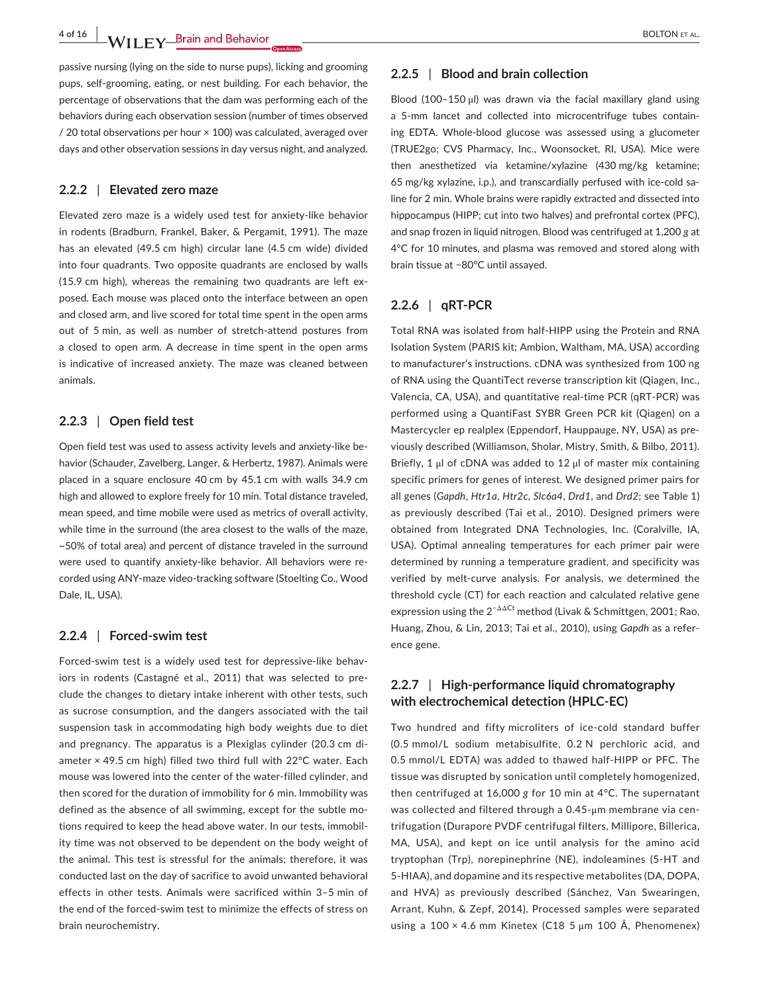**4 of 16 WII FY Brain and Behavior COVER AL.** BOLTON ET AL.

passive nursing (lying on the side to nurse pups), licking and grooming pups, self-grooming, eating, or nest building. For each behavior, the percentage of observations that the dam was performing each of the behaviors during each observation session (number of times observed / 20 total observations per hour × 100) was calculated, averaged over days and other observation sessions in day versus night, and analyzed.

#### **2.2.2** | **Elevated zero maze**

Elevated zero maze is a widely used test for anxiety-like behavior in rodents (Bradburn, Frankel, Baker, & Pergamit, 1991). The maze has an elevated (49.5 cm high) circular lane (4.5 cm wide) divided into four quadrants. Two opposite quadrants are enclosed by walls (15.9 cm high), whereas the remaining two quadrants are left exposed. Each mouse was placed onto the interface between an open and closed arm, and live scored for total time spent in the open arms out of 5 min, as well as number of stretch-attend postures from a closed to open arm. A decrease in time spent in the open arms is indicative of increased anxiety. The maze was cleaned between animals.

## **2.2.3** | **Open field test**

Open field test was used to assess activity levels and anxiety-like behavior (Schauder, Zavelberg, Langer, & Herbertz, 1987). Animals were placed in a square enclosure 40 cm by 45.1 cm with walls 34.9 cm high and allowed to explore freely for 10 min. Total distance traveled, mean speed, and time mobile were used as metrics of overall activity, while time in the surround (the area closest to the walls of the maze, ~50% of total area) and percent of distance traveled in the surround were used to quantify anxiety-like behavior. All behaviors were recorded using ANY-maze video-tracking software (Stoelting Co., Wood Dale, IL, USA).

#### **2.2.4** | **Forced-swim test**

Forced-swim test is a widely used test for depressive-like behaviors in rodents (Castagné et al., 2011) that was selected to preclude the changes to dietary intake inherent with other tests, such as sucrose consumption, and the dangers associated with the tail suspension task in accommodating high body weights due to diet and pregnancy. The apparatus is a Plexiglas cylinder (20.3 cm diameter × 49.5 cm high) filled two third full with 22°C water. Each mouse was lowered into the center of the water-filled cylinder, and then scored for the duration of immobility for 6 min. Immobility was defined as the absence of all swimming, except for the subtle motions required to keep the head above water. In our tests, immobility time was not observed to be dependent on the body weight of the animal. This test is stressful for the animals; therefore, it was conducted last on the day of sacrifice to avoid unwanted behavioral effects in other tests. Animals were sacrificed within 3–5 min of the end of the forced-swim test to minimize the effects of stress on brain neurochemistry.

#### **2.2.5** | **Blood and brain collection**

Blood (100–150 μl) was drawn via the facial maxillary gland using a 5-mm lancet and collected into microcentrifuge tubes containing EDTA. Whole-blood glucose was assessed using a glucometer (TRUE2go; CVS Pharmacy, Inc., Woonsocket, RI, USA). Mice were then anesthetized via ketamine/xylazine (430 mg/kg ketamine; 65 mg/kg xylazine, i.p.), and transcardially perfused with ice-cold saline for 2 min. Whole brains were rapidly extracted and dissected into hippocampus (HIPP; cut into two halves) and prefrontal cortex (PFC), and snap frozen in liquid nitrogen. Blood was centrifuged at 1,200 *g* at 4°C for 10 minutes, and plasma was removed and stored along with brain tissue at −80°C until assayed.

## **2.2.6** | **qRT-PCR**

Total RNA was isolated from half-HIPP using the Protein and RNA Isolation System (PARIS kit; Ambion, Waltham, MA, USA) according to manufacturer's instructions. cDNA was synthesized from 100 ng of RNA using the QuantiTect reverse transcription kit (Qiagen, Inc., Valencia, CA, USA), and quantitative real-time PCR (qRT-PCR) was performed using a QuantiFast SYBR Green PCR kit (Qiagen) on a Mastercycler ep realplex (Eppendorf, Hauppauge, NY, USA) as previously described (Williamson, Sholar, Mistry, Smith, & Bilbo, 2011). Briefly, 1 μl of cDNA was added to 12 μl of master mix containing specific primers for genes of interest. We designed primer pairs for all genes (*Gapdh*, *Htr1a*, *Htr2c*, *Slc6a4*, *Drd1*, and *Drd2*; see Table 1) as previously described (Tai et al., 2010). Designed primers were obtained from Integrated DNA Technologies, Inc. (Coralville, IA, USA). Optimal annealing temperatures for each primer pair were determined by running a temperature gradient, and specificity was verified by melt-curve analysis. For analysis, we determined the threshold cycle (CT) for each reaction and calculated relative gene expression using the 2<sup>−</sup>ΔΔCt method (Livak & Schmittgen, 2001; Rao, Huang, Zhou, & Lin, 2013; Tai et al., 2010), using *Gapdh* as a reference gene.

## **2.2.7** | **High-performance liquid chromatography with electrochemical detection (HPLC-EC)**

Two hundred and fifty microliters of ice-cold standard buffer (0.5 mmol/L sodium metabisulfite, 0.2 N perchloric acid, and 0.5 mmol/L EDTA) was added to thawed half-HIPP or PFC. The tissue was disrupted by sonication until completely homogenized, then centrifuged at 16,000 *g* for 10 min at 4°C. The supernatant was collected and filtered through a 0.45-μm membrane via centrifugation (Durapore PVDF centrifugal filters, Millipore, Billerica, MA, USA), and kept on ice until analysis for the amino acid tryptophan (Trp), norepinephrine (NE), indoleamines (5-HT and 5-HIAA), and dopamine and its respective metabolites (DA, DOPA, and HVA) as previously described (Sánchez, Van Swearingen, Arrant, Kuhn, & Zepf, 2014). Processed samples were separated using a 100  $\times$  4.6 mm Kinetex (C18 5  $\mu$ m 100 Å, Phenomenex)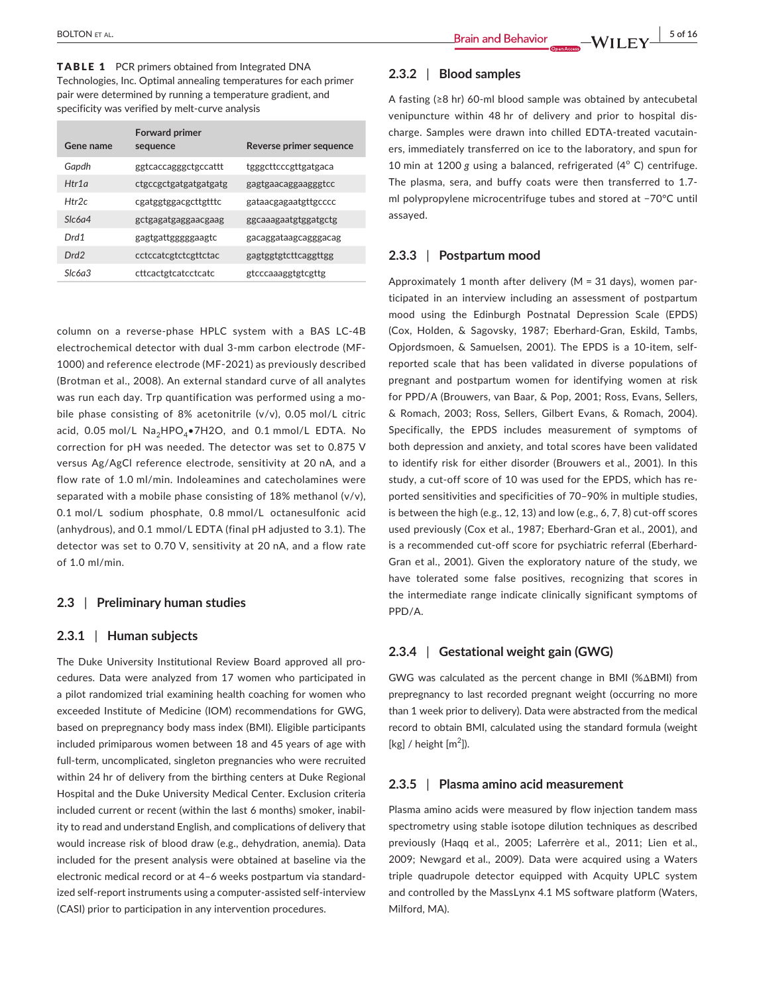TABLE 1 PCR primers obtained from Integrated DNA Technologies, Inc. Optimal annealing temperatures for each primer pair were determined by running a temperature gradient, and specificity was verified by melt-curve analysis

| Gene name        | <b>Forward primer</b><br>sequence | Reverse primer sequence |
|------------------|-----------------------------------|-------------------------|
| Gapdh            | ggtcaccagggctgccattt              | tgggcttcccgttgatgaca    |
| Htr1a            | ctgccgctgatgatgatgatg             | gagtgaacaggaagggtcc     |
| Htr2c            | cgatggtggacgcttgtttc              | gataacgagaatgttgcccc    |
| Slc6a4           | gctgagatgaggaacgaag               | ggcaaagaatgtggatgctg    |
| Drd1             | gagtgattgggggaagtc                | gacaggataagcagggacag    |
| Drd <sub>2</sub> | cctccatcgtctcgttctac              | gagtggtgtcttcaggttgg    |
| Slc6a3           | cttcactgtcatcctcatc               | gtcccaaaggtgtcgttg      |

column on a reverse-phase HPLC system with a BAS LC-4B electrochemical detector with dual 3-mm carbon electrode (MF-1000) and reference electrode (MF-2021) as previously described (Brotman et al., 2008). An external standard curve of all analytes was run each day. Trp quantification was performed using a mobile phase consisting of 8% acetonitrile (v/v), 0.05 mol/L citric acid, 0.05 mol/L  $Na<sub>a</sub>HPO<sub>a</sub>$  $HCO<sub>a</sub>$  and 0.1 mmol/L EDTA. No correction for pH was needed. The detector was set to 0.875 V versus Ag/AgCl reference electrode, sensitivity at 20 nA, and a flow rate of 1.0 ml/min. Indoleamines and catecholamines were separated with a mobile phase consisting of 18% methanol (v/v), 0.1 mol/L sodium phosphate, 0.8 mmol/L octanesulfonic acid (anhydrous), and 0.1 mmol/L EDTA (final pH adjusted to 3.1). The detector was set to 0.70 V, sensitivity at 20 nA, and a flow rate of 1.0 ml/min.

## **2.3** | **Preliminary human studies**

#### **2.3.1** | **Human subjects**

The Duke University Institutional Review Board approved all procedures. Data were analyzed from 17 women who participated in a pilot randomized trial examining health coaching for women who exceeded Institute of Medicine (IOM) recommendations for GWG, based on prepregnancy body mass index (BMI). Eligible participants included primiparous women between 18 and 45 years of age with full-term, uncomplicated, singleton pregnancies who were recruited within 24 hr of delivery from the birthing centers at Duke Regional Hospital and the Duke University Medical Center. Exclusion criteria included current or recent (within the last 6 months) smoker, inability to read and understand English, and complications of delivery that would increase risk of blood draw (e.g., dehydration, anemia). Data included for the present analysis were obtained at baseline via the electronic medical record or at 4–6 weeks postpartum via standardized self-report instruments using a computer-assisted self-interview (CASI) prior to participation in any intervention procedures.

## **2.3.2** | **Blood samples**

A fasting (≥8 hr) 60-ml blood sample was obtained by antecubetal venipuncture within 48 hr of delivery and prior to hospital discharge. Samples were drawn into chilled EDTA-treated vacutainers, immediately transferred on ice to the laboratory, and spun for 10 min at 1200 g using a balanced, refrigerated (4°C) centrifuge. The plasma, sera, and buffy coats were then transferred to 1.7 ml polypropylene microcentrifuge tubes and stored at −70°C until assayed.

## **2.3.3** | **Postpartum mood**

Approximately 1 month after delivery (M = 31 days), women participated in an interview including an assessment of postpartum mood using the Edinburgh Postnatal Depression Scale (EPDS) (Cox, Holden, & Sagovsky, 1987; Eberhard-Gran, Eskild, Tambs, Opjordsmoen, & Samuelsen, 2001). The EPDS is a 10-item, selfreported scale that has been validated in diverse populations of pregnant and postpartum women for identifying women at risk for PPD/A (Brouwers, van Baar, & Pop, 2001; Ross, Evans, Sellers, & Romach, 2003; Ross, Sellers, Gilbert Evans, & Romach, 2004). Specifically, the EPDS includes measurement of symptoms of both depression and anxiety, and total scores have been validated to identify risk for either disorder (Brouwers et al., 2001). In this study, a cut-off score of 10 was used for the EPDS, which has reported sensitivities and specificities of 70–90% in multiple studies, is between the high (e.g., 12, 13) and low (e.g., 6, 7, 8) cut-off scores used previously (Cox et al., 1987; Eberhard-Gran et al., 2001), and is a recommended cut-off score for psychiatric referral (Eberhard-Gran et al., 2001). Given the exploratory nature of the study, we have tolerated some false positives, recognizing that scores in the intermediate range indicate clinically significant symptoms of PPD/A.

## **2.3.4** | **Gestational weight gain (GWG)**

GWG was calculated as the percent change in BMI (%ΔBMI) from prepregnancy to last recorded pregnant weight (occurring no more than 1 week prior to delivery). Data were abstracted from the medical record to obtain BMI, calculated using the standard formula (weight [kg] / height  $[m<sup>2</sup>]$ ).

#### **2.3.5** | **Plasma amino acid measurement**

Plasma amino acids were measured by flow injection tandem mass spectrometry using stable isotope dilution techniques as described previously (Haqq et al., 2005; Laferrère et al., 2011; Lien et al., 2009; Newgard et al., 2009). Data were acquired using a Waters triple quadrupole detector equipped with Acquity UPLC system and controlled by the MassLynx 4.1 MS software platform (Waters, Milford, MA).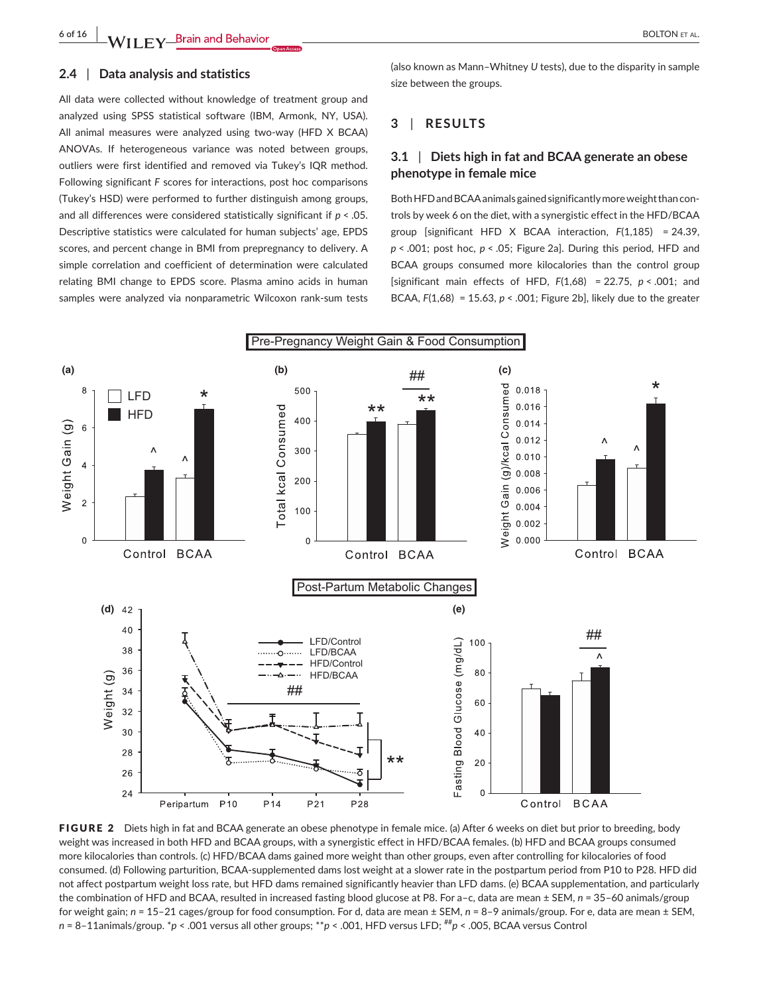#### **2.4** | **Data analysis and statistics**

All data were collected without knowledge of treatment group and analyzed using SPSS statistical software (IBM, Armonk, NY, USA). All animal measures were analyzed using two-way (HFD X BCAA) ANOVAs. If heterogeneous variance was noted between groups, outliers were first identified and removed via Tukey's IQR method. Following significant *F* scores for interactions, post hoc comparisons (Tukey's HSD) were performed to further distinguish among groups, and all differences were considered statistically significant if *p* < .05. Descriptive statistics were calculated for human subjects' age, EPDS scores, and percent change in BMI from prepregnancy to delivery. A simple correlation and coefficient of determination were calculated relating BMI change to EPDS score. Plasma amino acids in human samples were analyzed via nonparametric Wilcoxon rank-sum tests (also known as Mann–Whitney *U* tests), due to the disparity in sample size between the groups.

## **3** | **RESULTS**

## **3.1** | **Diets high in fat and BCAA generate an obese phenotype in female mice**

Both HFD and BCAA animals gained significantly more weight than controls by week 6 on the diet, with a synergistic effect in the HFD/BCAA group [significant HFD X BCAA interaction, *F*(1,185) = 24.39, *p* < .001; post hoc, *p* < .05; Figure 2a]. During this period, HFD and BCAA groups consumed more kilocalories than the control group [significant main effects of HFD, *F*(1,68) = 22.75, *p* < .001; and BCAA, *F*(1,68) = 15.63, *p* < .001; Figure 2b], likely due to the greater



FIGURE 2 Diets high in fat and BCAA generate an obese phenotype in female mice. (a) After 6 weeks on diet but prior to breeding, body weight was increased in both HFD and BCAA groups, with a synergistic effect in HFD/BCAA females. (b) HFD and BCAA groups consumed more kilocalories than controls. (c) HFD/BCAA dams gained more weight than other groups, even after controlling for kilocalories of food consumed. (d) Following parturition, BCAA-supplemented dams lost weight at a slower rate in the postpartum period from P10 to P28. HFD did not affect postpartum weight loss rate, but HFD dams remained significantly heavier than LFD dams. (e) BCAA supplementation, and particularly the combination of HFD and BCAA, resulted in increased fasting blood glucose at P8. For a-c, data are mean ± SEM,  $n = 35-60$  animals/group for weight gain; *n* = 15–21 cages/group for food consumption. For d, data are mean ± SEM, *n* = 8–9 animals/group. For e, data are mean ± SEM, *n* = 8–11animals/group. \**p* < .001 versus all other groups; \*\**p* < .001, HFD versus LFD; ##*p* < .005, BCAA versus Control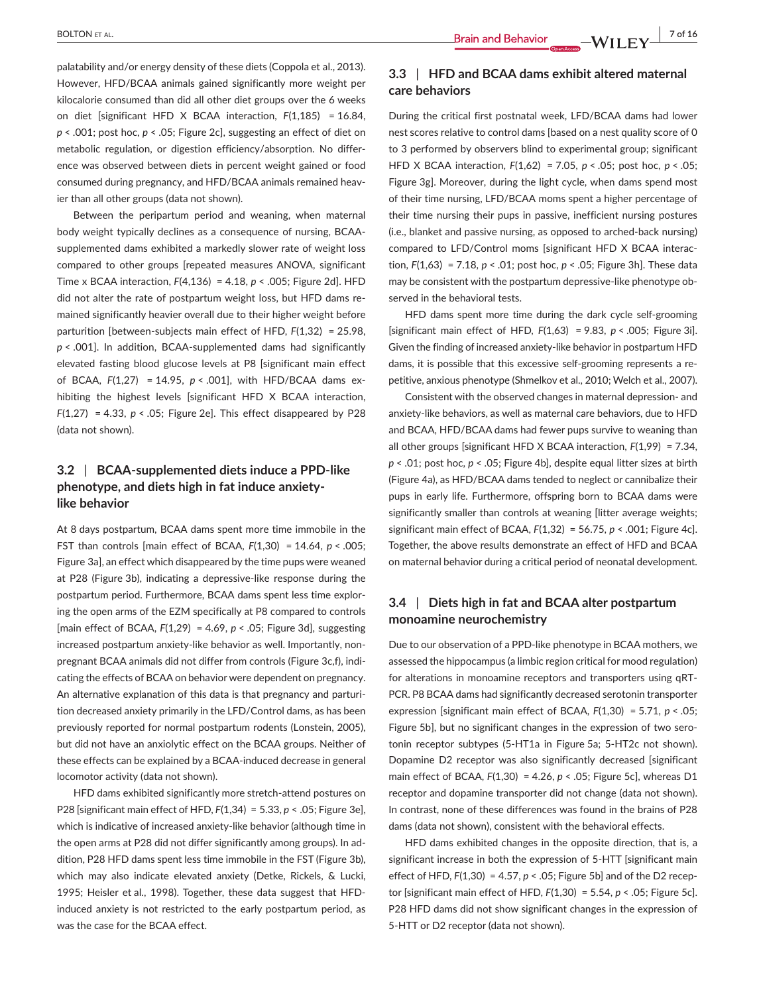palatability and/or energy density of these diets (Coppola et al., 2013). However, HFD/BCAA animals gained significantly more weight per kilocalorie consumed than did all other diet groups over the 6 weeks on diet [significant HFD X BCAA interaction, *F*(1,185) = 16.84, *p* < .001; post hoc, *p* < .05; Figure 2c], suggesting an effect of diet on metabolic regulation, or digestion efficiency/absorption. No difference was observed between diets in percent weight gained or food consumed during pregnancy, and HFD/BCAA animals remained heavier than all other groups (data not shown).

Between the peripartum period and weaning, when maternal body weight typically declines as a consequence of nursing, BCAAsupplemented dams exhibited a markedly slower rate of weight loss compared to other groups [repeated measures ANOVA, significant Time x BCAA interaction, *F*(4,136) = 4.18, *p* < .005; Figure 2d]. HFD did not alter the rate of postpartum weight loss, but HFD dams remained significantly heavier overall due to their higher weight before parturition [between-subjects main effect of HFD, *F*(1,32) = 25.98, *p* < .001]. In addition, BCAA-supplemented dams had significantly elevated fasting blood glucose levels at P8 [significant main effect of BCAA, *F*(1,27) = 14.95, *p* < .001], with HFD/BCAA dams exhibiting the highest levels [significant HFD X BCAA interaction, *F*(1,27) = 4.33, *p* < .05; Figure 2e]. This effect disappeared by P28 (data not shown).

# **3.2** | **BCAA-supplemented diets induce a PPD-like phenotype, and diets high in fat induce anxietylike behavior**

At 8 days postpartum, BCAA dams spent more time immobile in the FST than controls [main effect of BCAA, *F*(1,30) = 14.64, *p* < .005; Figure 3a], an effect which disappeared by the time pups were weaned at P28 (Figure 3b), indicating a depressive-like response during the postpartum period. Furthermore, BCAA dams spent less time exploring the open arms of the EZM specifically at P8 compared to controls [main effect of BCAA, *F*(1,29) = 4.69, *p* < .05; Figure 3d], suggesting increased postpartum anxiety-like behavior as well. Importantly, nonpregnant BCAA animals did not differ from controls (Figure 3c,f), indicating the effects of BCAA on behavior were dependent on pregnancy. An alternative explanation of this data is that pregnancy and parturition decreased anxiety primarily in the LFD/Control dams, as has been previously reported for normal postpartum rodents (Lonstein, 2005), but did not have an anxiolytic effect on the BCAA groups. Neither of these effects can be explained by a BCAA-induced decrease in general locomotor activity (data not shown).

HFD dams exhibited significantly more stretch-attend postures on P28 [significant main effect of HFD, *F*(1,34) = 5.33, *p* < .05; Figure 3e], which is indicative of increased anxiety-like behavior (although time in the open arms at P28 did not differ significantly among groups). In addition, P28 HFD dams spent less time immobile in the FST (Figure 3b), which may also indicate elevated anxiety (Detke, Rickels, & Lucki, 1995; Heisler et al., 1998). Together, these data suggest that HFDinduced anxiety is not restricted to the early postpartum period, as was the case for the BCAA effect.

## **3.3** | **HFD and BCAA dams exhibit altered maternal care behaviors**

During the critical first postnatal week, LFD/BCAA dams had lower nest scores relative to control dams [based on a nest quality score of 0 to 3 performed by observers blind to experimental group; significant HFD X BCAA interaction, *F*(1,62) = 7.05, *p* < .05; post hoc, *p* < .05; Figure 3g]. Moreover, during the light cycle, when dams spend most of their time nursing, LFD/BCAA moms spent a higher percentage of their time nursing their pups in passive, inefficient nursing postures (i.e., blanket and passive nursing, as opposed to arched-back nursing) compared to LFD/Control moms [significant HFD X BCAA interaction, *F*(1,63) = 7.18, *p* < .01; post hoc, *p* < .05; Figure 3h]. These data may be consistent with the postpartum depressive-like phenotype observed in the behavioral tests.

HFD dams spent more time during the dark cycle self-grooming [significant main effect of HFD, *F*(1,63) = 9.83, *p* < .005; Figure 3i]. Given the finding of increased anxiety-like behavior in postpartum HFD dams, it is possible that this excessive self-grooming represents a repetitive, anxious phenotype (Shmelkov et al., 2010; Welch et al., 2007).

Consistent with the observed changes in maternal depression- and anxiety-like behaviors, as well as maternal care behaviors, due to HFD and BCAA, HFD/BCAA dams had fewer pups survive to weaning than all other groups [significant HFD X BCAA interaction, *F*(1,99) = 7.34, *p* < .01; post hoc, *p* < .05; Figure 4b], despite equal litter sizes at birth (Figure 4a), as HFD/BCAA dams tended to neglect or cannibalize their pups in early life. Furthermore, offspring born to BCAA dams were significantly smaller than controls at weaning [litter average weights; significant main effect of BCAA, *F*(1,32) = 56.75, *p* < .001; Figure 4c]. Together, the above results demonstrate an effect of HFD and BCAA on maternal behavior during a critical period of neonatal development.

## **3.4** | **Diets high in fat and BCAA alter postpartum monoamine neurochemistry**

Due to our observation of a PPD-like phenotype in BCAA mothers, we assessed the hippocampus (a limbic region critical for mood regulation) for alterations in monoamine receptors and transporters using qRT-PCR. P8 BCAA dams had significantly decreased serotonin transporter expression [significant main effect of BCAA, *F*(1,30) = 5.71, *p* < .05; Figure 5b], but no significant changes in the expression of two serotonin receptor subtypes (5-HT1a in Figure 5a; 5-HT2c not shown). Dopamine D2 receptor was also significantly decreased [significant main effect of BCAA, *F*(1,30) = 4.26, *p* < .05; Figure 5c], whereas D1 receptor and dopamine transporter did not change (data not shown). In contrast, none of these differences was found in the brains of P28 dams (data not shown), consistent with the behavioral effects.

HFD dams exhibited changes in the opposite direction, that is, a significant increase in both the expression of 5-HTT [significant main effect of HFD, *F*(1,30) = 4.57, *p* < .05; Figure 5b] and of the D2 receptor [significant main effect of HFD, *F*(1,30) = 5.54, *p* < .05; Figure 5c]. P28 HFD dams did not show significant changes in the expression of 5-HTT or D2 receptor (data not shown).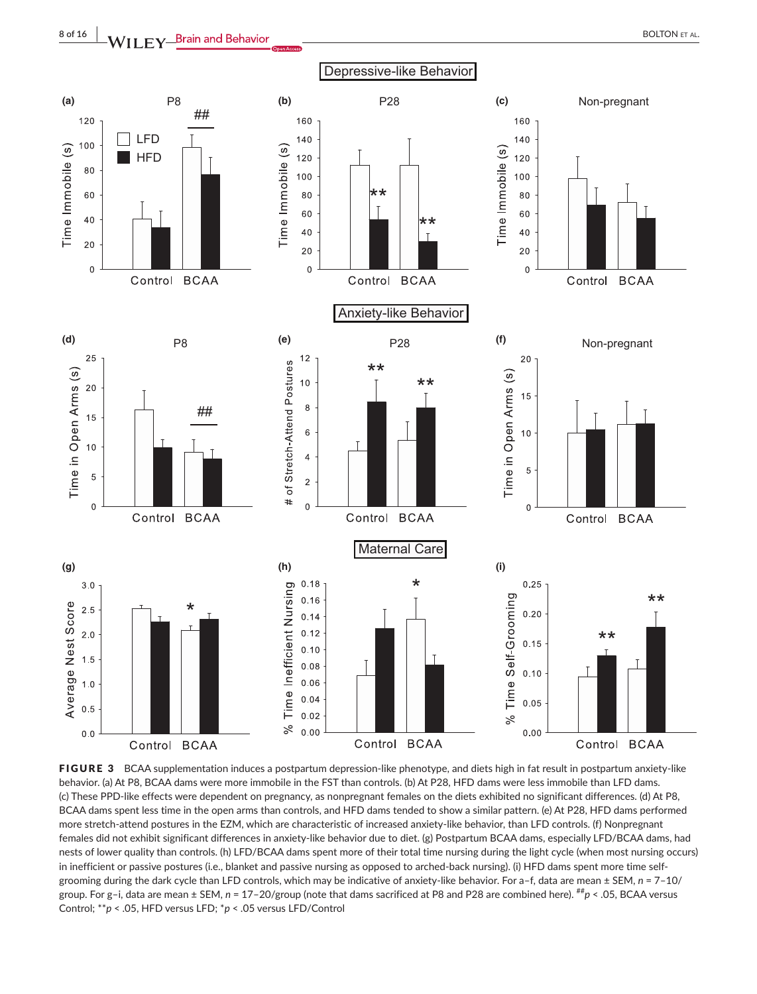

FIGURE 3 BCAA supplementation induces a postpartum depression-like phenotype, and diets high in fat result in postpartum anxiety-like behavior. (a) At P8, BCAA dams were more immobile in the FST than controls. (b) At P28, HFD dams were less immobile than LFD dams. (c) These PPD-like effects were dependent on pregnancy, as nonpregnant females on the diets exhibited no significant differences. (d) At P8, BCAA dams spent less time in the open arms than controls, and HFD dams tended to show a similar pattern. (e) At P28, HFD dams performed more stretch-attend postures in the EZM, which are characteristic of increased anxiety-like behavior, than LFD controls. (f) Nonpregnant females did not exhibit significant differences in anxiety-like behavior due to diet. (g) Postpartum BCAA dams, especially LFD/BCAA dams, had nests of lower quality than controls. (h) LFD/BCAA dams spent more of their total time nursing during the light cycle (when most nursing occurs) in inefficient or passive postures (i.e., blanket and passive nursing as opposed to arched-back nursing). (i) HFD dams spent more time selfgrooming during the dark cycle than LFD controls, which may be indicative of anxiety-like behavior. For a–f, data are mean ± SEM, *n* = 7–10/ group. For g-i, data are mean ± SEM,  $n = 17-20$ /group (note that dams sacrificed at P8 and P28 are combined here). <sup>##</sup>p < .05, BCAA versus Control; \*\**p* < .05, HFD versus LFD; \**p* < .05 versus LFD/Control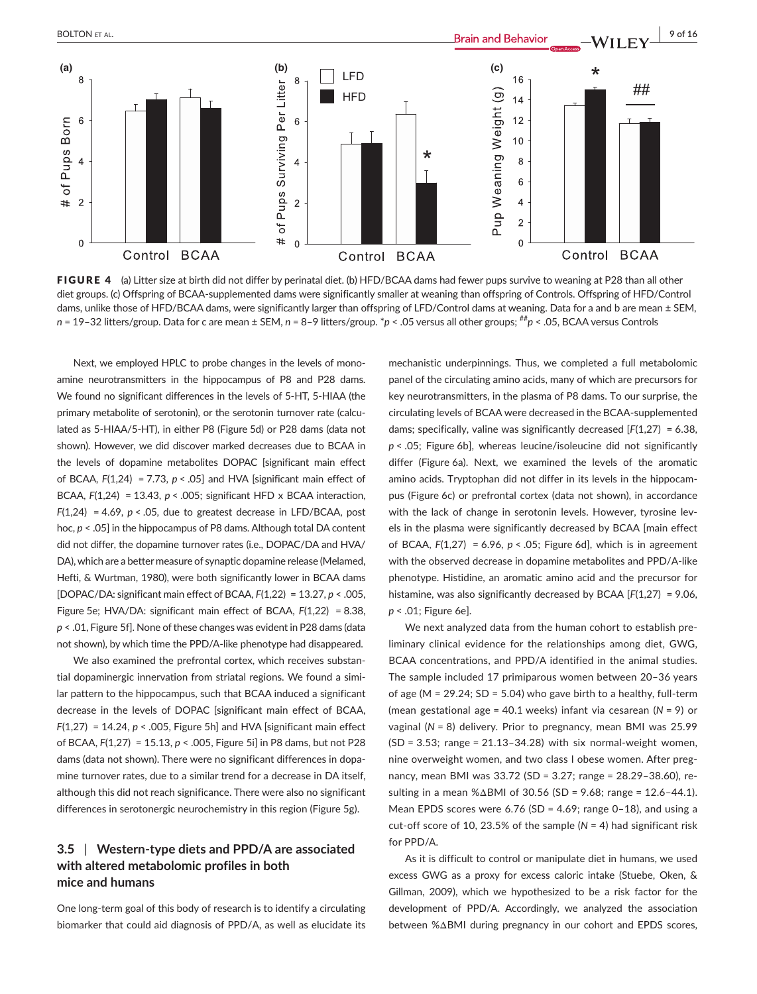

FIGURE 4 (a) Litter size at birth did not differ by perinatal diet. (b) HFD/BCAA dams had fewer pups survive to weaning at P28 than all other diet groups. (c) Offspring of BCAA-supplemented dams were significantly smaller at weaning than offspring of Controls. Offspring of HFD/Control dams, unlike those of HFD/BCAA dams, were significantly larger than offspring of LFD/Control dams at weaning. Data for a and b are mean  $\pm$  SEM, *n* = 19–32 litters/group. Data for c are mean ± SEM, *n* = 8–9 litters/group. \**p* < .05 versus all other groups; ##*p* < .05, BCAA versus Controls

Next, we employed HPLC to probe changes in the levels of monoamine neurotransmitters in the hippocampus of P8 and P28 dams. We found no significant differences in the levels of 5-HT, 5-HIAA (the primary metabolite of serotonin), or the serotonin turnover rate (calculated as 5-HIAA/5-HT), in either P8 (Figure 5d) or P28 dams (data not shown). However, we did discover marked decreases due to BCAA in the levels of dopamine metabolites DOPAC [significant main effect of BCAA,  $F(1,24) = 7.73$ ,  $p < .05$ ] and HVA [significant main effect of BCAA, *F*(1,24) = 13.43, *p* < .005; significant HFD x BCAA interaction, *F*(1,24) = 4.69, *p* < .05, due to greatest decrease in LFD/BCAA, post hoc, *p* < .05] in the hippocampus of P8 dams. Although total DA content did not differ, the dopamine turnover rates (i.e., DOPAC/DA and HVA/ DA), which are a better measure of synaptic dopamine release (Melamed, Hefti, & Wurtman, 1980), were both significantly lower in BCAA dams [DOPAC/DA: significant main effect of BCAA, *F*(1,22) = 13.27, *p* < .005, Figure 5e; HVA/DA: significant main effect of BCAA, *F*(1,22) = 8.38, *p* < .01, Figure 5f]. None of these changes was evident in P28 dams (data not shown), by which time the PPD/A-like phenotype had disappeared.

We also examined the prefrontal cortex, which receives substantial dopaminergic innervation from striatal regions. We found a similar pattern to the hippocampus, such that BCAA induced a significant decrease in the levels of DOPAC [significant main effect of BCAA, *F*(1,27) = 14.24, *p* < .005, Figure 5h] and HVA [significant main effect of BCAA, *F*(1,27) = 15.13, *p* < .005, Figure 5i] in P8 dams, but not P28 dams (data not shown). There were no significant differences in dopamine turnover rates, due to a similar trend for a decrease in DA itself, although this did not reach significance. There were also no significant differences in serotonergic neurochemistry in this region (Figure 5g).

# **3.5** | **Western-type diets and PPD/A are associated with altered metabolomic profiles in both mice and humans**

One long-term goal of this body of research is to identify a circulating biomarker that could aid diagnosis of PPD/A, as well as elucidate its mechanistic underpinnings. Thus, we completed a full metabolomic panel of the circulating amino acids, many of which are precursors for key neurotransmitters, in the plasma of P8 dams. To our surprise, the circulating levels of BCAA were decreased in the BCAA-supplemented dams; specifically, valine was significantly decreased [*F*(1,27) = 6.38, *p* < .05; Figure 6b], whereas leucine/isoleucine did not significantly differ (Figure 6a). Next, we examined the levels of the aromatic amino acids. Tryptophan did not differ in its levels in the hippocampus (Figure 6c) or prefrontal cortex (data not shown), in accordance with the lack of change in serotonin levels. However, tyrosine levels in the plasma were significantly decreased by BCAA [main effect of BCAA, *F*(1,27) = 6.96, *p* < .05; Figure 6d], which is in agreement with the observed decrease in dopamine metabolites and PPD/A-like phenotype. Histidine, an aromatic amino acid and the precursor for histamine, was also significantly decreased by BCAA [*F*(1,27) = 9.06, *p* < .01; Figure 6e].

We next analyzed data from the human cohort to establish preliminary clinical evidence for the relationships among diet, GWG, BCAA concentrations, and PPD/A identified in the animal studies. The sample included 17 primiparous women between 20–36 years of age (M = 29.24;  $SD = 5.04$ ) who gave birth to a healthy, full-term (mean gestational age = 40.1 weeks) infant via cesarean (*N* = 9) or vaginal (*N* = 8) delivery. Prior to pregnancy, mean BMI was 25.99  $(SD = 3.53;$  range =  $21.13-34.28$ ) with six normal-weight women, nine overweight women, and two class I obese women. After pregnancy, mean BMI was 33.72 (SD = 3.27; range = 28.29–38.60), resulting in a mean %ΔBMI of 30.56 (SD = 9.68; range = 12.6–44.1). Mean EPDS scores were 6.76 (SD = 4.69; range 0–18), and using a cut-off score of 10, 23.5% of the sample (*N* = 4) had significant risk for PPD/A.

As it is difficult to control or manipulate diet in humans, we used excess GWG as a proxy for excess caloric intake (Stuebe, Oken, & Gillman, 2009), which we hypothesized to be a risk factor for the development of PPD/A. Accordingly, we analyzed the association between %ΔBMI during pregnancy in our cohort and EPDS scores,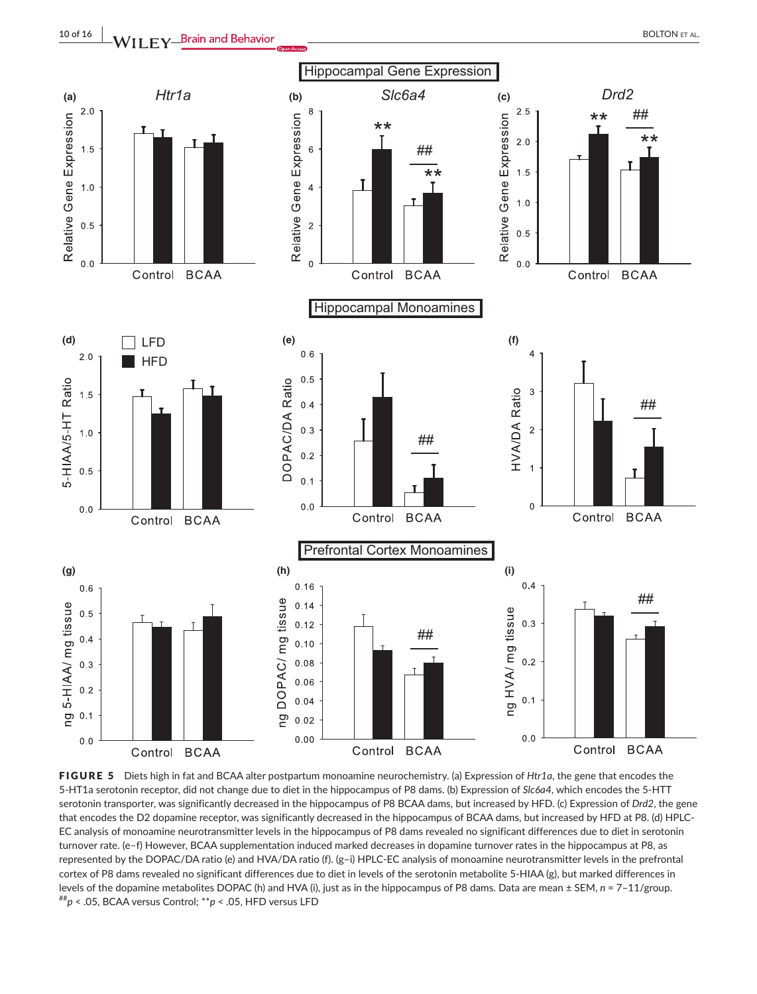

FIGURE 5 Diets high in fat and BCAA alter postpartum monoamine neurochemistry. (a) Expression of *Htr1a*, the gene that encodes the 5-HT1a serotonin receptor, did not change due to diet in the hippocampus of P8 dams. (b) Expression of *Slc6a4*, which encodes the 5-HTT serotonin transporter, was significantly decreased in the hippocampus of P8 BCAA dams, but increased by HFD. (c) Expression of *Drd2*, the gene that encodes the D2 dopamine receptor, was significantly decreased in the hippocampus of BCAA dams, but increased by HFD at P8. (d) HPLC-EC analysis of monoamine neurotransmitter levels in the hippocampus of P8 dams revealed no significant differences due to diet in serotonin turnover rate. (e–f) However, BCAA supplementation induced marked decreases in dopamine turnover rates in the hippocampus at P8, as represented by the DOPAC/DA ratio (e) and HVA/DA ratio (f). (g–i) HPLC-EC analysis of monoamine neurotransmitter levels in the prefrontal cortex of P8 dams revealed no significant differences due to diet in levels of the serotonin metabolite 5-HIAA (g), but marked differences in levels of the dopamine metabolites DOPAC (h) and HVA (i), just as in the hippocampus of P8 dams. Data are mean ± SEM, *n* = 7–11/group.<br><sup>##</sup>*p* < .05, BCAA versus Control; \*\**p* < .05, HFD versus LFD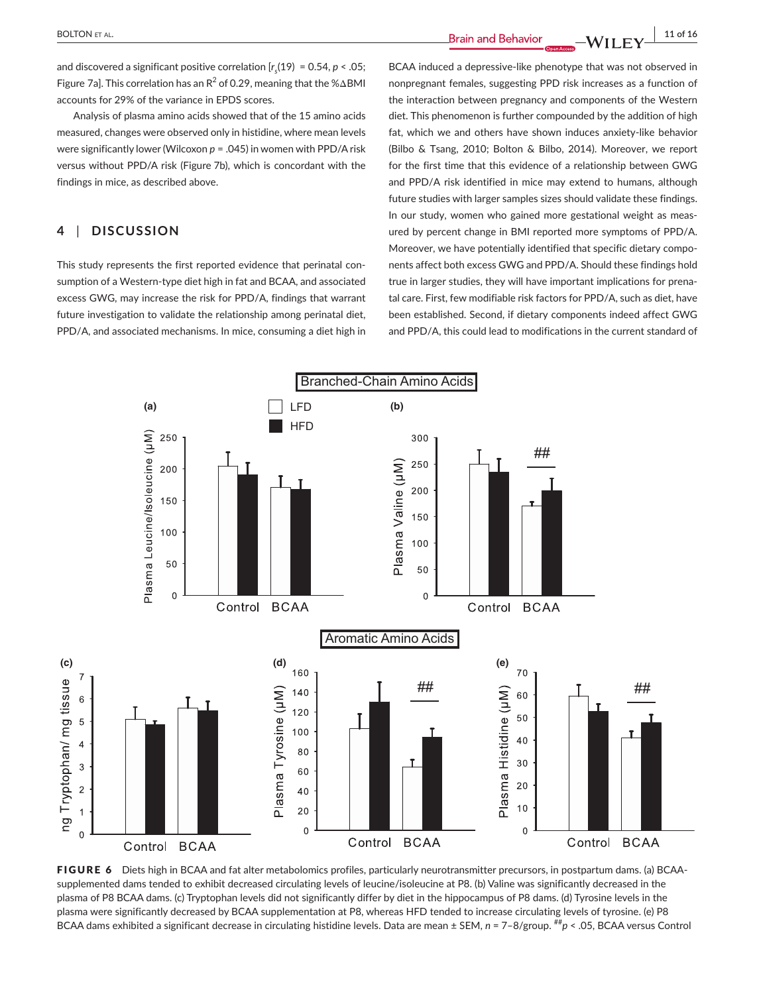and discovered a significant positive correlation [*rs* (19) = 0.54, *p* < .05; Figure 7a]. This correlation has an R<sup>2</sup> of 0.29, meaning that the % $\Delta$ BMI accounts for 29% of the variance in EPDS scores.

Analysis of plasma amino acids showed that of the 15 amino acids measured, changes were observed only in histidine, where mean levels were significantly lower (Wilcoxon *p* = .045) in women with PPD/A risk versus without PPD/A risk (Figure 7b), which is concordant with the findings in mice, as described above.

# **4** | **DISCUSSION**

This study represents the first reported evidence that perinatal consumption of a Western-type diet high in fat and BCAA, and associated excess GWG, may increase the risk for PPD/A, findings that warrant future investigation to validate the relationship among perinatal diet, PPD/A, and associated mechanisms. In mice, consuming a diet high in BCAA induced a depressive-like phenotype that was not observed in nonpregnant females, suggesting PPD risk increases as a function of the interaction between pregnancy and components of the Western diet. This phenomenon is further compounded by the addition of high fat, which we and others have shown induces anxiety-like behavior (Bilbo & Tsang, 2010; Bolton & Bilbo, 2014). Moreover, we report for the first time that this evidence of a relationship between GWG and PPD/A risk identified in mice may extend to humans, although future studies with larger samples sizes should validate these findings. In our study, women who gained more gestational weight as measured by percent change in BMI reported more symptoms of PPD/A. Moreover, we have potentially identified that specific dietary components affect both excess GWG and PPD/A. Should these findings hold true in larger studies, they will have important implications for prenatal care. First, few modifiable risk factors for PPD/A, such as diet, have been established. Second, if dietary components indeed affect GWG and PPD/A, this could lead to modifications in the current standard of



FIGURE 6 Diets high in BCAA and fat alter metabolomics profiles, particularly neurotransmitter precursors, in postpartum dams. (a) BCAAsupplemented dams tended to exhibit decreased circulating levels of leucine/isoleucine at P8. (b) Valine was significantly decreased in the plasma of P8 BCAA dams. (c) Tryptophan levels did not significantly differ by diet in the hippocampus of P8 dams. (d) Tyrosine levels in the plasma were significantly decreased by BCAA supplementation at P8, whereas HFD tended to increase circulating levels of tyrosine. (e) P8 BCAA dams exhibited a significant decrease in circulating histidine levels. Data are mean ± SEM,  $n = 7-8/\text{group.}$  ## $p < .05$ , BCAA versus Control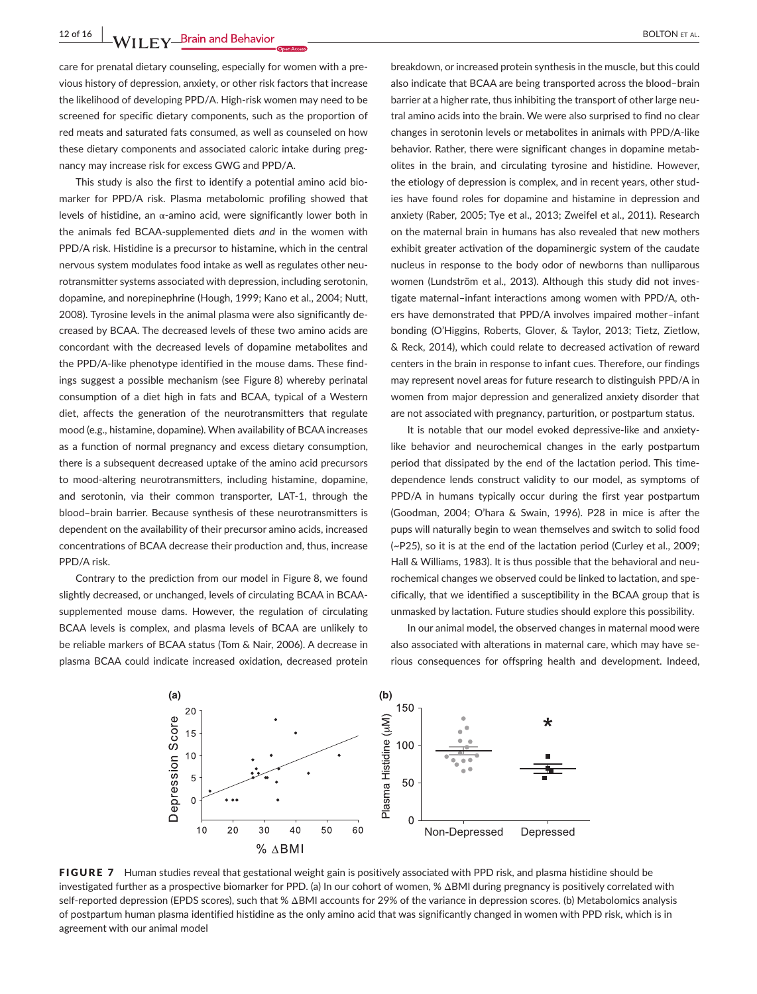12 of 16 **A**<br>**12 of 16 BOLTON ET AL.** 

care for prenatal dietary counseling, especially for women with a previous history of depression, anxiety, or other risk factors that increase the likelihood of developing PPD/A. High-risk women may need to be screened for specific dietary components, such as the proportion of red meats and saturated fats consumed, as well as counseled on how these dietary components and associated caloric intake during pregnancy may increase risk for excess GWG and PPD/A.

This study is also the first to identify a potential amino acid biomarker for PPD/A risk. Plasma metabolomic profiling showed that levels of histidine, an α-amino acid, were significantly lower both in the animals fed BCAA-supplemented diets *and* in the women with PPD/A risk. Histidine is a precursor to histamine, which in the central nervous system modulates food intake as well as regulates other neurotransmitter systems associated with depression, including serotonin, dopamine, and norepinephrine (Hough, 1999; Kano et al., 2004; Nutt, 2008). Tyrosine levels in the animal plasma were also significantly decreased by BCAA. The decreased levels of these two amino acids are concordant with the decreased levels of dopamine metabolites and the PPD/A-like phenotype identified in the mouse dams. These findings suggest a possible mechanism (see Figure 8) whereby perinatal consumption of a diet high in fats and BCAA, typical of a Western diet, affects the generation of the neurotransmitters that regulate mood (e.g., histamine, dopamine). When availability of BCAA increases as a function of normal pregnancy and excess dietary consumption, there is a subsequent decreased uptake of the amino acid precursors to mood-altering neurotransmitters, including histamine, dopamine, and serotonin, via their common transporter, LAT-1, through the blood–brain barrier. Because synthesis of these neurotransmitters is dependent on the availability of their precursor amino acids, increased concentrations of BCAA decrease their production and, thus, increase PPD/A risk.

Contrary to the prediction from our model in Figure 8, we found slightly decreased, or unchanged, levels of circulating BCAA in BCAAsupplemented mouse dams. However, the regulation of circulating BCAA levels is complex, and plasma levels of BCAA are unlikely to be reliable markers of BCAA status (Tom & Nair, 2006). A decrease in plasma BCAA could indicate increased oxidation, decreased protein

breakdown, or increased protein synthesis in the muscle, but this could also indicate that BCAA are being transported across the blood–brain barrier at a higher rate, thus inhibiting the transport of other large neutral amino acids into the brain. We were also surprised to find no clear changes in serotonin levels or metabolites in animals with PPD/A-like behavior. Rather, there were significant changes in dopamine metabolites in the brain, and circulating tyrosine and histidine. However, the etiology of depression is complex, and in recent years, other studies have found roles for dopamine and histamine in depression and anxiety (Raber, 2005; Tye et al., 2013; Zweifel et al., 2011). Research on the maternal brain in humans has also revealed that new mothers exhibit greater activation of the dopaminergic system of the caudate nucleus in response to the body odor of newborns than nulliparous women (Lundström et al., 2013). Although this study did not investigate maternal–infant interactions among women with PPD/A, others have demonstrated that PPD/A involves impaired mother–infant bonding (O'Higgins, Roberts, Glover, & Taylor, 2013; Tietz, Zietlow, & Reck, 2014), which could relate to decreased activation of reward centers in the brain in response to infant cues. Therefore, our findings may represent novel areas for future research to distinguish PPD/A in women from major depression and generalized anxiety disorder that are not associated with pregnancy, parturition, or postpartum status.

It is notable that our model evoked depressive-like and anxietylike behavior and neurochemical changes in the early postpartum period that dissipated by the end of the lactation period. This timedependence lends construct validity to our model, as symptoms of PPD/A in humans typically occur during the first year postpartum (Goodman, 2004; O'hara & Swain, 1996). P28 in mice is after the pups will naturally begin to wean themselves and switch to solid food (~P25), so it is at the end of the lactation period (Curley et al., 2009; Hall & Williams, 1983). It is thus possible that the behavioral and neurochemical changes we observed could be linked to lactation, and specifically, that we identified a susceptibility in the BCAA group that is unmasked by lactation. Future studies should explore this possibility.

In our animal model, the observed changes in maternal mood were also associated with alterations in maternal care, which may have serious consequences for offspring health and development. Indeed,



FIGURE 7 Human studies reveal that gestational weight gain is positively associated with PPD risk, and plasma histidine should be investigated further as a prospective biomarker for PPD. (a) In our cohort of women, % ΔBMI during pregnancy is positively correlated with self-reported depression (EPDS scores), such that % ΔBMI accounts for 29% of the variance in depression scores. (b) Metabolomics analysis of postpartum human plasma identified histidine as the only amino acid that was significantly changed in women with PPD risk, which is in agreement with our animal model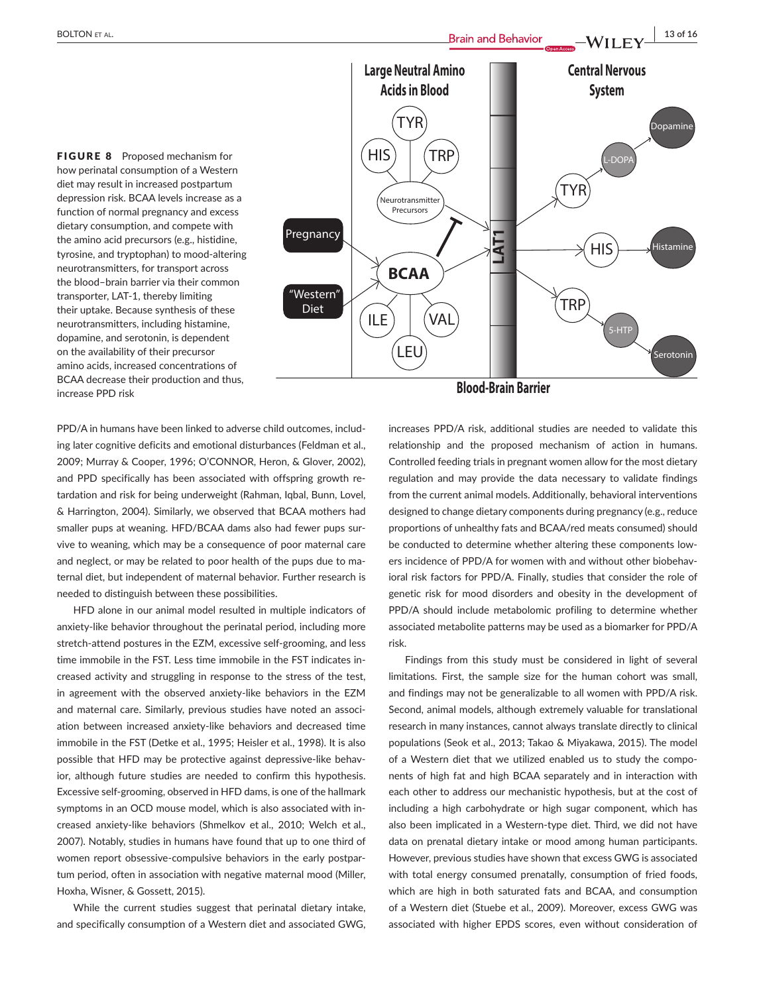FIGURE 8 Proposed mechanism for how perinatal consumption of a Western diet may result in increased postpartum depression risk. BCAA levels increase as a function of normal pregnancy and excess dietary consumption, and compete with the amino acid precursors (e.g., histidine, tyrosine, and tryptophan) to mood-altering neurotransmitters, for transport across the blood–brain barrier via their common transporter, LAT-1, thereby limiting their uptake. Because synthesis of these neurotransmitters, including histamine, dopamine, and serotonin, is dependent on the availability of their precursor amino acids, increased concentrations of BCAA decrease their production and thus, increase PPD risk



PPD/A in humans have been linked to adverse child outcomes, including later cognitive deficits and emotional disturbances (Feldman et al., 2009; Murray & Cooper, 1996; O'CONNOR, Heron, & Glover, 2002), and PPD specifically has been associated with offspring growth retardation and risk for being underweight (Rahman, Iqbal, Bunn, Lovel, & Harrington, 2004). Similarly, we observed that BCAA mothers had smaller pups at weaning. HFD/BCAA dams also had fewer pups survive to weaning, which may be a consequence of poor maternal care and neglect, or may be related to poor health of the pups due to maternal diet, but independent of maternal behavior. Further research is needed to distinguish between these possibilities.

HFD alone in our animal model resulted in multiple indicators of anxiety-like behavior throughout the perinatal period, including more stretch-attend postures in the EZM, excessive self-grooming, and less time immobile in the FST. Less time immobile in the FST indicates increased activity and struggling in response to the stress of the test, in agreement with the observed anxiety-like behaviors in the EZM and maternal care. Similarly, previous studies have noted an association between increased anxiety-like behaviors and decreased time immobile in the FST (Detke et al., 1995; Heisler et al., 1998). It is also possible that HFD may be protective against depressive-like behavior, although future studies are needed to confirm this hypothesis. Excessive self-grooming, observed in HFD dams, is one of the hallmark symptoms in an OCD mouse model, which is also associated with increased anxiety-like behaviors (Shmelkov et al., 2010; Welch et al., 2007). Notably, studies in humans have found that up to one third of women report obsessive-compulsive behaviors in the early postpartum period, often in association with negative maternal mood (Miller, Hoxha, Wisner, & Gossett, 2015).

While the current studies suggest that perinatal dietary intake, and specifically consumption of a Western diet and associated GWG,

increases PPD/A risk, additional studies are needed to validate this relationship and the proposed mechanism of action in humans. Controlled feeding trials in pregnant women allow for the most dietary regulation and may provide the data necessary to validate findings from the current animal models. Additionally, behavioral interventions designed to change dietary components during pregnancy (e.g., reduce proportions of unhealthy fats and BCAA/red meats consumed) should be conducted to determine whether altering these components lowers incidence of PPD/A for women with and without other biobehavioral risk factors for PPD/A. Finally, studies that consider the role of genetic risk for mood disorders and obesity in the development of PPD/A should include metabolomic profiling to determine whether associated metabolite patterns may be used as a biomarker for PPD/A risk.

Findings from this study must be considered in light of several limitations. First, the sample size for the human cohort was small, and findings may not be generalizable to all women with PPD/A risk. Second, animal models, although extremely valuable for translational research in many instances, cannot always translate directly to clinical populations (Seok et al., 2013; Takao & Miyakawa, 2015). The model of a Western diet that we utilized enabled us to study the components of high fat and high BCAA separately and in interaction with each other to address our mechanistic hypothesis, but at the cost of including a high carbohydrate or high sugar component, which has also been implicated in a Western-type diet. Third, we did not have data on prenatal dietary intake or mood among human participants. However, previous studies have shown that excess GWG is associated with total energy consumed prenatally, consumption of fried foods, which are high in both saturated fats and BCAA, and consumption of a Western diet (Stuebe et al., 2009). Moreover, excess GWG was associated with higher EPDS scores, even without consideration of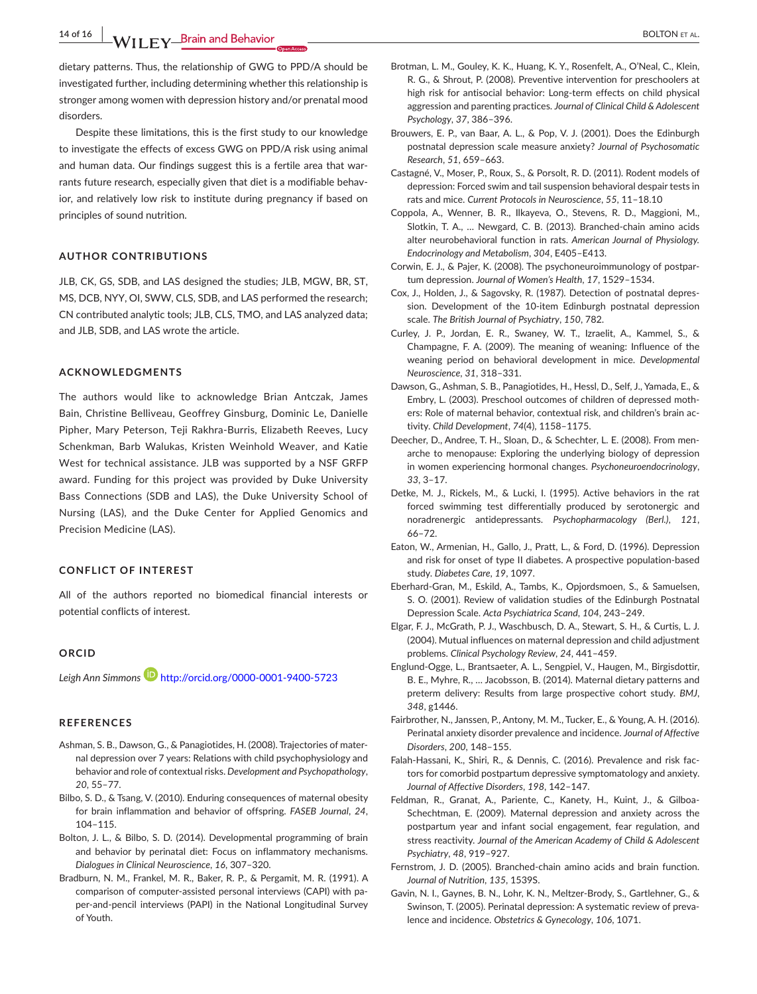**14 of 16 WILEY Brain and Behavior** *COLTON ET AL.* 

dietary patterns. Thus, the relationship of GWG to PPD/A should be investigated further, including determining whether this relationship is stronger among women with depression history and/or prenatal mood disorders.

Despite these limitations, this is the first study to our knowledge to investigate the effects of excess GWG on PPD/A risk using animal and human data. Our findings suggest this is a fertile area that warrants future research, especially given that diet is a modifiable behavior, and relatively low risk to institute during pregnancy if based on principles of sound nutrition.

## **AUTHOR CONTRIBUTIONS**

JLB, CK, GS, SDB, and LAS designed the studies; JLB, MGW, BR, ST, MS, DCB, NYY, OI, SWW, CLS, SDB, and LAS performed the research; CN contributed analytic tools; JLB, CLS, TMO, and LAS analyzed data; and JLB, SDB, and LAS wrote the article.

#### **ACKNOWLEDGMENTS**

The authors would like to acknowledge Brian Antczak, James Bain, Christine Belliveau, Geoffrey Ginsburg, Dominic Le, Danielle Pipher, Mary Peterson, Teji Rakhra-Burris, Elizabeth Reeves, Lucy Schenkman, Barb Walukas, Kristen Weinhold Weaver, and Katie West for technical assistance. JLB was supported by a NSF GRFP award. Funding for this project was provided by Duke University Bass Connections (SDB and LAS), the Duke University School of Nursing (LAS), and the Duke Center for Applied Genomics and Precision Medicine (LAS).

#### **CONFLICT OF INTEREST**

All of the authors reported no biomedical financial interests or potential conflicts of interest.

#### **ORCID**

Leigh Ann Simmons<sup>1</sup> <http://orcid.org/0000-0001-9400-5723>

#### **REFERENCES**

- Ashman, S. B., Dawson, G., & Panagiotides, H. (2008). Trajectories of maternal depression over 7 years: Relations with child psychophysiology and behavior and role of contextual risks. *Development and Psychopathology*, *20*, 55–77.
- Bilbo, S. D., & Tsang, V. (2010). Enduring consequences of maternal obesity for brain inflammation and behavior of offspring. *FASEB Journal*, *24*, 104–115.
- Bolton, J. L., & Bilbo, S. D. (2014). Developmental programming of brain and behavior by perinatal diet: Focus on inflammatory mechanisms. *Dialogues in Clinical Neuroscience*, *16*, 307–320.
- Bradburn, N. M., Frankel, M. R., Baker, R. P., & Pergamit, M. R. (1991). A comparison of computer-assisted personal interviews (CAPI) with paper-and-pencil interviews (PAPI) in the National Longitudinal Survey of Youth.
- Brotman, L. M., Gouley, K. K., Huang, K. Y., Rosenfelt, A., O'Neal, C., Klein, R. G., & Shrout, P. (2008). Preventive intervention for preschoolers at high risk for antisocial behavior: Long-term effects on child physical aggression and parenting practices. *Journal of Clinical Child & Adolescent Psychology*, *37*, 386–396.
- Brouwers, E. P., van Baar, A. L., & Pop, V. J. (2001). Does the Edinburgh postnatal depression scale measure anxiety? *Journal of Psychosomatic Research*, *51*, 659–663.
- Castagné, V., Moser, P., Roux, S., & Porsolt, R. D. (2011). Rodent models of depression: Forced swim and tail suspension behavioral despair tests in rats and mice. *Current Protocols in Neuroscience*, *55*, 11–18.10
- Coppola, A., Wenner, B. R., Ilkayeva, O., Stevens, R. D., Maggioni, M., Slotkin, T. A., … Newgard, C. B. (2013). Branched-chain amino acids alter neurobehavioral function in rats. *American Journal of Physiology. Endocrinology and Metabolism*, *304*, E405–E413.
- Corwin, E. J., & Pajer, K. (2008). The psychoneuroimmunology of postpartum depression. *Journal of Women's Health*, *17*, 1529–1534.
- Cox, J., Holden, J., & Sagovsky, R. (1987). Detection of postnatal depression. Development of the 10-item Edinburgh postnatal depression scale. *The British Journal of Psychiatry*, *150*, 782.
- Curley, J. P., Jordan, E. R., Swaney, W. T., Izraelit, A., Kammel, S., & Champagne, F. A. (2009). The meaning of weaning: Influence of the weaning period on behavioral development in mice. *Developmental Neuroscience*, *31*, 318–331.
- Dawson, G., Ashman, S. B., Panagiotides, H., Hessl, D., Self, J., Yamada, E., & Embry, L. (2003). Preschool outcomes of children of depressed mothers: Role of maternal behavior, contextual risk, and children's brain activity. *Child Development*, *74*(4), 1158–1175.
- Deecher, D., Andree, T. H., Sloan, D., & Schechter, L. E. (2008). From menarche to menopause: Exploring the underlying biology of depression in women experiencing hormonal changes. *Psychoneuroendocrinology*, *33*, 3–17.
- Detke, M. J., Rickels, M., & Lucki, I. (1995). Active behaviors in the rat forced swimming test differentially produced by serotonergic and noradrenergic antidepressants. *Psychopharmacology (Berl.)*, *121*, 66–72.
- Eaton, W., Armenian, H., Gallo, J., Pratt, L., & Ford, D. (1996). Depression and risk for onset of type II diabetes. A prospective population-based study. *Diabetes Care*, *19*, 1097.
- Eberhard-Gran, M., Eskild, A., Tambs, K., Opjordsmoen, S., & Samuelsen, S. O. (2001). Review of validation studies of the Edinburgh Postnatal Depression Scale. *Acta Psychiatrica Scand*, *104*, 243–249.
- Elgar, F. J., McGrath, P. J., Waschbusch, D. A., Stewart, S. H., & Curtis, L. J. (2004). Mutual influences on maternal depression and child adjustment problems. *Clinical Psychology Review*, *24*, 441–459.
- Englund-Ogge, L., Brantsaeter, A. L., Sengpiel, V., Haugen, M., Birgisdottir, B. E., Myhre, R., … Jacobsson, B. (2014). Maternal dietary patterns and preterm delivery: Results from large prospective cohort study. *BMJ*, *348*, g1446.
- Fairbrother, N., Janssen, P., Antony, M. M., Tucker, E., & Young, A. H. (2016). Perinatal anxiety disorder prevalence and incidence. *Journal of Affective Disorders*, *200*, 148–155.
- Falah-Hassani, K., Shiri, R., & Dennis, C. (2016). Prevalence and risk factors for comorbid postpartum depressive symptomatology and anxiety. *Journal of Affective Disorders*, *198*, 142–147.
- Feldman, R., Granat, A., Pariente, C., Kanety, H., Kuint, J., & Gilboa-Schechtman, E. (2009). Maternal depression and anxiety across the postpartum year and infant social engagement, fear regulation, and stress reactivity. *Journal of the American Academy of Child & Adolescent Psychiatry*, *48*, 919–927.
- Fernstrom, J. D. (2005). Branched-chain amino acids and brain function. *Journal of Nutrition*, *135*, 1539S.
- Gavin, N. I., Gaynes, B. N., Lohr, K. N., Meltzer-Brody, S., Gartlehner, G., & Swinson, T. (2005). Perinatal depression: A systematic review of prevalence and incidence. *Obstetrics & Gynecology*, *106*, 1071.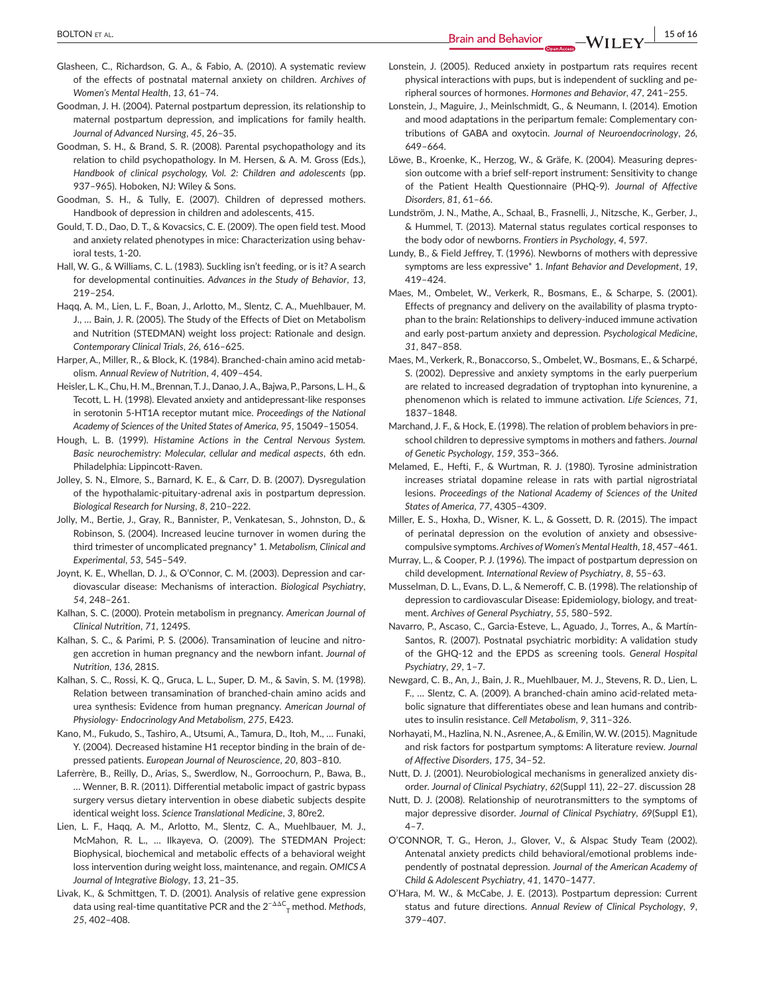**|** BOLTON et al. **15 of 16**

- Goodman, J. H. (2004). Paternal postpartum depression, its relationship to maternal postpartum depression, and implications for family health. *Journal of Advanced Nursing*, *45*, 26–35.
- Goodman, S. H., & Brand, S. R. (2008). Parental psychopathology and its relation to child psychopathology. In M. Hersen, & A. M. Gross (Eds.), *Handbook of clinical psychology, Vol. 2: Children and adolescents* (pp. 937–965). Hoboken, NJ: Wiley & Sons.
- Goodman, S. H., & Tully, E. (2007). Children of depressed mothers. Handbook of depression in children and adolescents, 415.
- Gould, T. D., Dao, D. T., & Kovacsics, C. E. (2009). The open field test. Mood and anxiety related phenotypes in mice: Characterization using behavioral tests, 1-20.
- Hall, W. G., & Williams, C. L. (1983). Suckling isn't feeding, or is it? A search for developmental continuities. *Advances in the Study of Behavior*, *13*, 219–254.
- Haqq, A. M., Lien, L. F., Boan, J., Arlotto, M., Slentz, C. A., Muehlbauer, M. J., … Bain, J. R. (2005). The Study of the Effects of Diet on Metabolism and Nutrition (STEDMAN) weight loss project: Rationale and design. *Contemporary Clinical Trials*, *26*, 616–625.
- Harper, A., Miller, R., & Block, K. (1984). Branched-chain amino acid metabolism. *Annual Review of Nutrition*, *4*, 409–454.
- Heisler, L. K., Chu, H. M., Brennan,T. J., Danao, J.A., Bajwa, P., Parsons, L. H., & Tecott, L. H. (1998). Elevated anxiety and antidepressant-like responses in serotonin 5-HT1A receptor mutant mice. *Proceedings of the National Academy of Sciences of the United States of America*, *95*, 15049–15054.
- Hough, L. B. (1999). *Histamine Actions in the Central Nervous System. Basic neurochemistry: Molecular, cellular and medical aspects*, 6th edn. Philadelphia: Lippincott-Raven.
- Jolley, S. N., Elmore, S., Barnard, K. E., & Carr, D. B. (2007). Dysregulation of the hypothalamic-pituitary-adrenal axis in postpartum depression. *Biological Research for Nursing*, *8*, 210–222.
- Jolly, M., Bertie, J., Gray, R., Bannister, P., Venkatesan, S., Johnston, D., & Robinson, S. (2004). Increased leucine turnover in women during the third trimester of uncomplicated pregnancy\* 1. *Metabolism, Clinical and Experimental*, *53*, 545–549.
- Joynt, K. E., Whellan, D. J., & O'Connor, C. M. (2003). Depression and cardiovascular disease: Mechanisms of interaction. *Biological Psychiatry*, *54*, 248–261.
- Kalhan, S. C. (2000). Protein metabolism in pregnancy. *American Journal of Clinical Nutrition*, *71*, 1249S.
- Kalhan, S. C., & Parimi, P. S. (2006). Transamination of leucine and nitrogen accretion in human pregnancy and the newborn infant. *Journal of Nutrition*, *136*, 281S.
- Kalhan, S. C., Rossi, K. Q., Gruca, L. L., Super, D. M., & Savin, S. M. (1998). Relation between transamination of branched-chain amino acids and urea synthesis: Evidence from human pregnancy. *American Journal of Physiology- Endocrinology And Metabolism*, *275*, E423.
- Kano, M., Fukudo, S., Tashiro, A., Utsumi, A., Tamura, D., Itoh, M., … Funaki, Y. (2004). Decreased histamine H1 receptor binding in the brain of depressed patients. *European Journal of Neuroscience*, *20*, 803–810.
- Laferrère, B., Reilly, D., Arias, S., Swerdlow, N., Gorroochurn, P., Bawa, B., … Wenner, B. R. (2011). Differential metabolic impact of gastric bypass surgery versus dietary intervention in obese diabetic subjects despite identical weight loss. *Science Translational Medicine*, *3*, 80re2.
- Lien, L. F., Haqq, A. M., Arlotto, M., Slentz, C. A., Muehlbauer, M. J., McMahon, R. L., … Ilkayeva, O. (2009). The STEDMAN Project: Biophysical, biochemical and metabolic effects of a behavioral weight loss intervention during weight loss, maintenance, and regain. *OMICS A Journal of Integrative Biology*, *13*, 21–35.
- Livak, K., & Schmittgen, T. D. (2001). Analysis of relative gene expression data using real-time quantitative PCR and the 2<sup>−</sup>ΔΔ<sup>C</sup> T method. *Methods*, *25*, 402–408.
- Lonstein, J. (2005). Reduced anxiety in postpartum rats requires recent physical interactions with pups, but is independent of suckling and peripheral sources of hormones. *Hormones and Behavior*, *47*, 241–255.
- Lonstein, J., Maguire, J., Meinlschmidt, G., & Neumann, I. (2014). Emotion and mood adaptations in the peripartum female: Complementary contributions of GABA and oxytocin. *Journal of Neuroendocrinology*, *26*, 649–664.
- Löwe, B., Kroenke, K., Herzog, W., & Gräfe, K. (2004). Measuring depression outcome with a brief self-report instrument: Sensitivity to change of the Patient Health Questionnaire (PHQ-9). *Journal of Affective Disorders*, *81*, 61–66.
- Lundström, J. N., Mathe, A., Schaal, B., Frasnelli, J., Nitzsche, K., Gerber, J., & Hummel, T. (2013). Maternal status regulates cortical responses to the body odor of newborns. *Frontiers in Psychology*, *4*, 597.
- Lundy, B., & Field Jeffrey, T. (1996). Newborns of mothers with depressive symptoms are less expressive\* 1. *Infant Behavior and Development*, *19*, 419–424.
- Maes, M., Ombelet, W., Verkerk, R., Bosmans, E., & Scharpe, S. (2001). Effects of pregnancy and delivery on the availability of plasma tryptophan to the brain: Relationships to delivery-induced immune activation and early post-partum anxiety and depression. *Psychological Medicine*, *31*, 847–858.
- Maes, M.,Verkerk, R., Bonaccorso, S., Ombelet, W., Bosmans, E., & Scharpé, S. (2002). Depressive and anxiety symptoms in the early puerperium are related to increased degradation of tryptophan into kynurenine, a phenomenon which is related to immune activation. *Life Sciences*, *71*, 1837–1848.
- Marchand, J. F., & Hock, E. (1998). The relation of problem behaviors in preschool children to depressive symptoms in mothers and fathers. *Journal of Genetic Psychology*, *159*, 353–366.
- Melamed, E., Hefti, F., & Wurtman, R. J. (1980). Tyrosine administration increases striatal dopamine release in rats with partial nigrostriatal lesions. *Proceedings of the National Academy of Sciences of the United States of America*, *77*, 4305–4309.
- Miller, E. S., Hoxha, D., Wisner, K. L., & Gossett, D. R. (2015). The impact of perinatal depression on the evolution of anxiety and obsessivecompulsive symptoms. *Archives of Women's Mental Health*, *18*, 457–461.
- Murray, L., & Cooper, P. J. (1996). The impact of postpartum depression on child development. *International Review of Psychiatry*, *8*, 55–63.
- Musselman, D. L., Evans, D. L., & Nemeroff, C. B. (1998). The relationship of depression to cardiovascular Disease: Epidemiology, biology, and treatment. *Archives of General Psychiatry*, *55*, 580–592.
- Navarro, P., Ascaso, C., Garcia-Esteve, L., Aguado, J., Torres, A., & Martín-Santos, R. (2007). Postnatal psychiatric morbidity: A validation study of the GHQ-12 and the EPDS as screening tools. *General Hospital Psychiatry*, *29*, 1–7.
- Newgard, C. B., An, J., Bain, J. R., Muehlbauer, M. J., Stevens, R. D., Lien, L. F., … Slentz, C. A. (2009). A branched-chain amino acid-related metabolic signature that differentiates obese and lean humans and contributes to insulin resistance. *Cell Metabolism*, *9*, 311–326.
- Norhayati, M., Hazlina, N. N.,Asrenee,A., & Emilin,W.W. (2015). Magnitude and risk factors for postpartum symptoms: A literature review. *Journal of Affective Disorders*, *175*, 34–52.
- Nutt, D. J. (2001). Neurobiological mechanisms in generalized anxiety disorder. *Journal of Clinical Psychiatry*, *62*(Suppl 11), 22–27. discussion 28
- Nutt, D. J. (2008). Relationship of neurotransmitters to the symptoms of major depressive disorder. *Journal of Clinical Psychiatry*, *69*(Suppl E1),  $4 - 7$ .
- O'CONNOR, T. G., Heron, J., Glover, V., & Alspac Study Team (2002). Antenatal anxiety predicts child behavioral/emotional problems independently of postnatal depression. *Journal of the American Academy of Child & Adolescent Psychiatry*, *41*, 1470–1477.
- O'Hara, M. W., & McCabe, J. E. (2013). Postpartum depression: Current status and future directions. *Annual Review of Clinical Psychology*, *9*, 379–407.